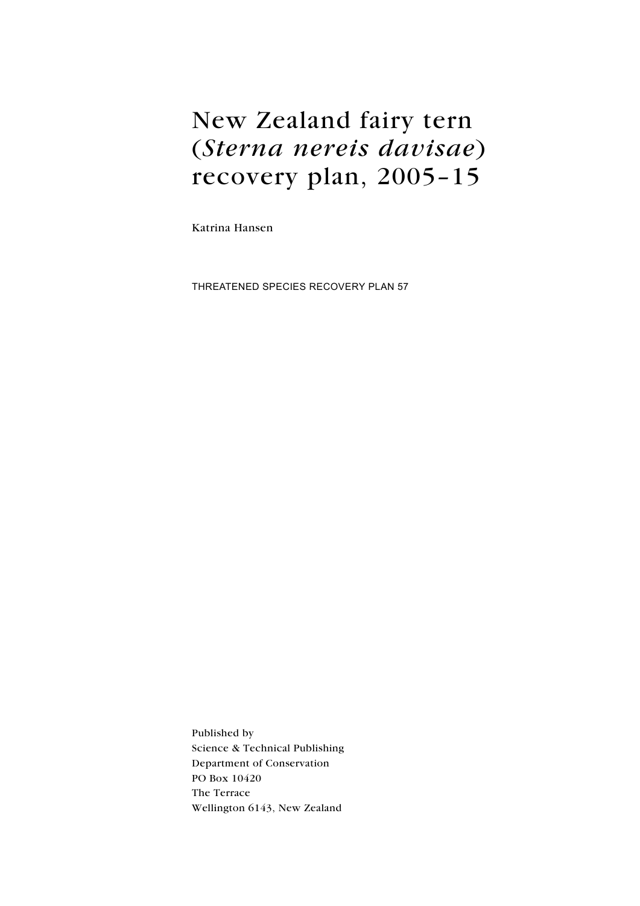# New Zealand fairy tern (Sterna nereis davisae) recovery plan, 2005–15

Katrina Hansen

Threatened Species Recovery Plan 57

Published by Science & Technical Publishing Department of Conservation PO Box 10420 The Terrace Wellington 6143, New Zealand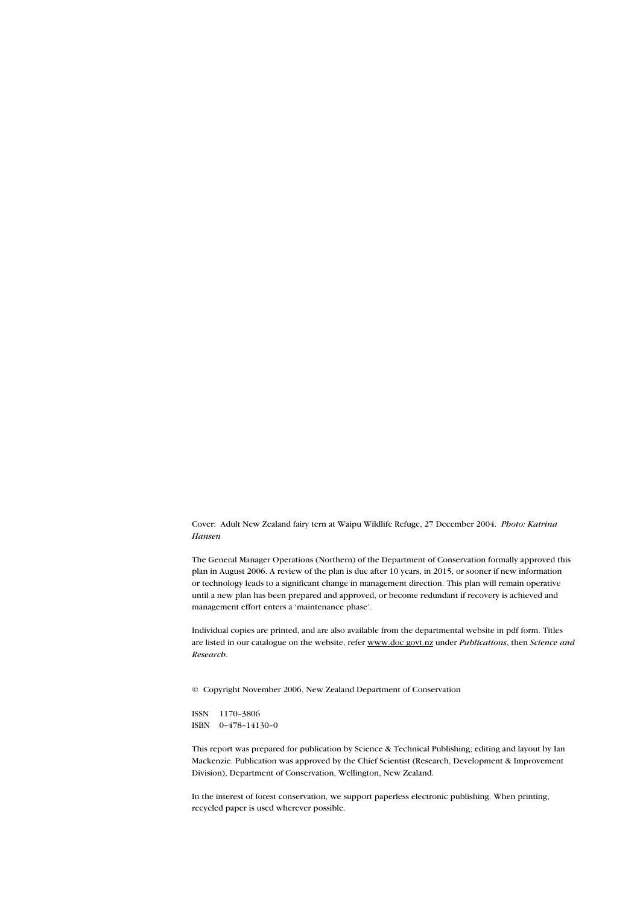Cover: Adult New Zealand fairy tern at Waipu Wildlife Refuge, 27 December 2004. Photo: Katrina Hansen

The General Manager Operations (Northern) of the Department of Conservation formally approved this plan in August 2006. A review of the plan is due after 10 years, in 2015, or sooner if new information or technology leads to a significant change in management direction. This plan will remain operative until a new plan has been prepared and approved, or become redundant if recovery is achieved and management effort enters a 'maintenance phase'.

Individual copies are printed, and are also available from the departmental website in pdf form. Titles are listed in our catalogue on the website, refer www.doc.govt.nz under Publications, then Science and Research.

© Copyright November 2006, New Zealand Department of Conservation

ISSN 1170–3806 ISBN 0–478–14130–0

This report was prepared for publication by Science & Technical Publishing; editing and layout by Ian Mackenzie. Publication was approved by the Chief Scientist (Research, Development & Improvement Division), Department of Conservation, Wellington, New Zealand.

In the interest of forest conservation, we support paperless electronic publishing. When printing, recycled paper is used wherever possible.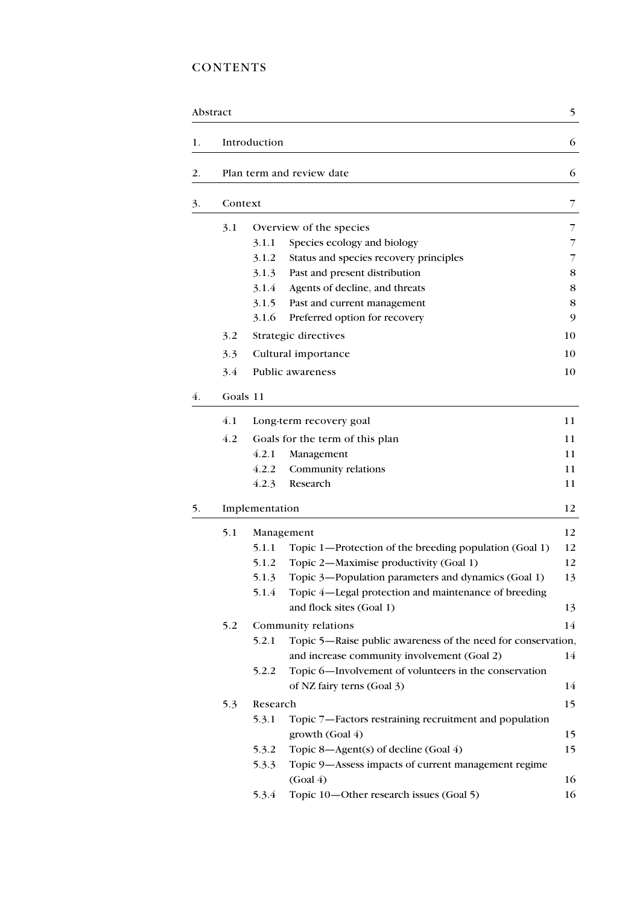## **CONTENTS**

|    | Abstract |                |                                                              | 5  |  |  |
|----|----------|----------------|--------------------------------------------------------------|----|--|--|
| 1. |          | Introduction   |                                                              | 6  |  |  |
| 2. |          |                | Plan term and review date                                    | 6  |  |  |
| 3. | Context  |                |                                                              | 7  |  |  |
|    | 3.1      |                | Overview of the species                                      | 7  |  |  |
|    |          | 3.1.1          | Species ecology and biology                                  | 7  |  |  |
|    |          | 3.1.2          | Status and species recovery principles                       | 7  |  |  |
|    |          | 3.1.3          | Past and present distribution                                | 8  |  |  |
|    |          | 3.1.4          | Agents of decline, and threats                               | 8  |  |  |
|    |          | 3.1.5          | Past and current management                                  | 8  |  |  |
|    |          | 3.1.6          | Preferred option for recovery                                | 9  |  |  |
|    | 3.2      |                | Strategic directives                                         | 10 |  |  |
|    | 3.3      |                | Cultural importance                                          | 10 |  |  |
|    | 3.4      |                | Public awareness                                             | 10 |  |  |
| 4. |          | Goals 11       |                                                              |    |  |  |
|    | 4.1      |                | Long-term recovery goal                                      | 11 |  |  |
|    | 4.2      |                | Goals for the term of this plan                              | 11 |  |  |
|    |          | 4.2.1          | Management                                                   | 11 |  |  |
|    |          | 4.2.2          | Community relations                                          | 11 |  |  |
|    |          | 4.2.3          | Research                                                     | 11 |  |  |
| 5. |          | Implementation |                                                              |    |  |  |
|    | 5.1      |                | Management                                                   | 12 |  |  |
|    |          | 5.1.1          | Topic 1—Protection of the breeding population (Goal 1)       | 12 |  |  |
|    |          | 5.1.2          | Topic 2-Maximise productivity (Goal 1)                       | 12 |  |  |
|    |          | 5.1.3          | Topic 3-Population parameters and dynamics (Goal 1)          | 13 |  |  |
|    |          | 5.1.4          | Topic 4—Legal protection and maintenance of breeding         |    |  |  |
|    |          |                | and flock sites (Goal 1)                                     | 13 |  |  |
|    | 5.2      |                | Community relations                                          | 14 |  |  |
|    |          | 5.2.1          | Topic 5—Raise public awareness of the need for conservation, |    |  |  |
|    |          |                | and increase community involvement (Goal 2)                  | 14 |  |  |
|    |          | 5.2.2          | Topic 6-Involvement of volunteers in the conservation        |    |  |  |
|    |          |                | of NZ fairy terns (Goal 3)                                   | 14 |  |  |
|    | 5.3      | Research       |                                                              | 15 |  |  |
|    |          | 5.3.1          | Topic 7—Factors restraining recruitment and population       |    |  |  |
|    |          |                | growth (Goal 4)                                              | 15 |  |  |
|    |          | 5.3.2          | Topic 8-Agent(s) of decline (Goal 4)                         | 15 |  |  |
|    |          | 5.3.3          | Topic 9-Assess impacts of current management regime          |    |  |  |
|    |          |                | (Goal 4)                                                     | 16 |  |  |
|    |          | 5.3.4          | Topic 10-Other research issues (Goal 5)                      | 16 |  |  |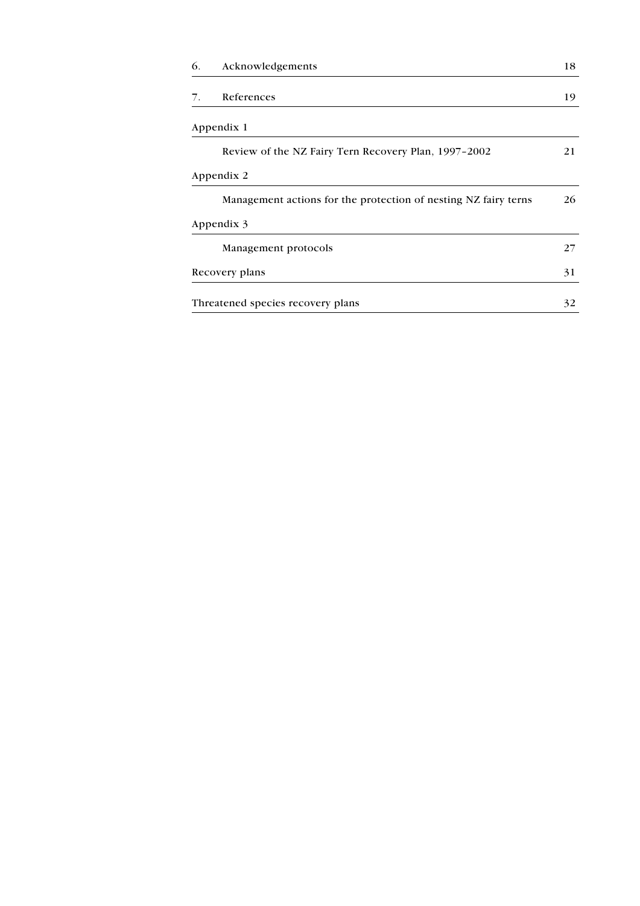| 6. | Acknowledgements                                                | 18 |
|----|-----------------------------------------------------------------|----|
| 7. | References                                                      | 19 |
|    | Appendix 1                                                      |    |
|    | Review of the NZ Fairy Tern Recovery Plan, 1997–2002            | 21 |
|    | Appendix 2                                                      |    |
|    | Management actions for the protection of nesting NZ fairy terns | 26 |
|    | Appendix 3                                                      |    |
|    | Management protocols                                            | 27 |
|    | Recovery plans                                                  | 31 |
|    | Threatened species recovery plans                               | 32 |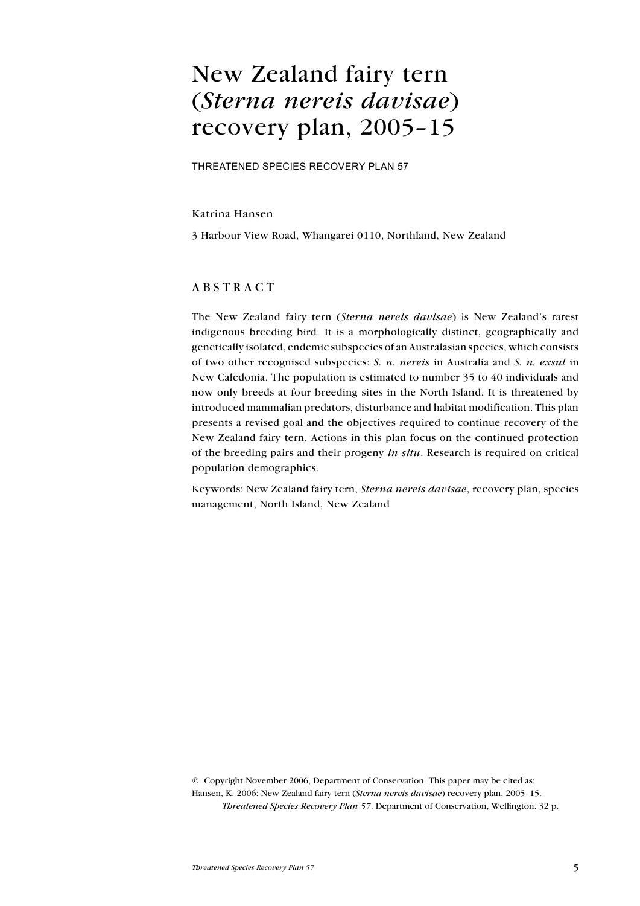## <span id="page-4-0"></span>New Zealand fairy tern (Sterna nereis davisae) recovery plan, 2005–15

Threatened species recovery plan 57

#### Katrina Hansen

3 Harbour View Road, Whangarei 0110, Northland, New Zealand

### **ABSTRACT**

The New Zealand fairy tern (Sterna nereis davisae) is New Zealand's rarest indigenous breeding bird. It is a morphologically distinct, geographically and genetically isolated, endemic subspecies of an Australasian species, which consists of two other recognised subspecies: S.  $n$ . nereis in Australia and S. n. exsul in New Caledonia. The population is estimated to number 35 to 40 individuals and now only breeds at four breeding sites in the North Island. It is threatened by introduced mammalian predators, disturbance and habitat modification. This plan presents a revised goal and the objectives required to continue recovery of the New Zealand fairy tern. Actions in this plan focus on the continued protection of the breeding pairs and their progeny in situ. Research is required on critical population demographics.

Keywords: New Zealand fairy tern, Sterna nereis davisae, recovery plan, species management, North Island, New Zealand

© Copyright November 2006, Department of Conservation. This paper may be cited as: Hansen, K. 2006: New Zealand fairy tern (Sterna nereis davisae) recovery plan, 2005–15. Threatened Species Recovery Plan 57. Department of Conservation, Wellington. 32 p.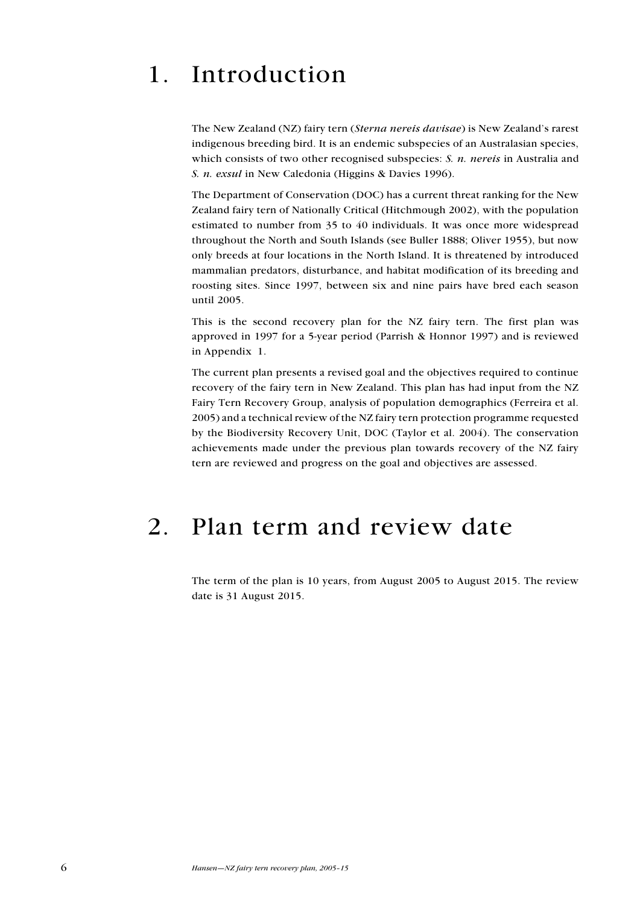# <span id="page-5-0"></span>1. Introduction

The New Zealand (NZ) fairy tern (Sterna nereis davisae) is New Zealand's rarest indigenous breeding bird. It is an endemic subspecies of an Australasian species, which consists of two other recognised subspecies: S. n. nereis in Australia and S. n. exsul in New Caledonia (Higgins & Davies 1996).

The Department of Conservation (DOC) has a current threat ranking for the New Zealand fairy tern of Nationally Critical (Hitchmough 2002), with the population estimated to number from 35 to 40 individuals. It was once more widespread throughout the North and South Islands (see Buller 1888; Oliver 1955), but now only breeds at four locations in the North Island. It is threatened by introduced mammalian predators, disturbance, and habitat modification of its breeding and roosting sites. Since 1997, between six and nine pairs have bred each season until 2005.

This is the second recovery plan for the NZ fairy tern. The first plan was approved in 1997 for a 5-year period (Parrish & Honnor 1997) and is reviewed in Appendix 1.

The current plan presents a revised goal and the objectives required to continue recovery of the fairy tern in New Zealand. This plan has had input from the NZ Fairy Tern Recovery Group, analysis of population demographics (Ferreira et al. 2005) and a technical review of the NZ fairy tern protection programme requested by the Biodiversity Recovery Unit, DOC (Taylor et al. 2004). The conservation achievements made under the previous plan towards recovery of the NZ fairy tern are reviewed and progress on the goal and objectives are assessed.

## 2. Plan term and review date

The term of the plan is 10 years, from August 2005 to August 2015. The review date is 31 August 2015.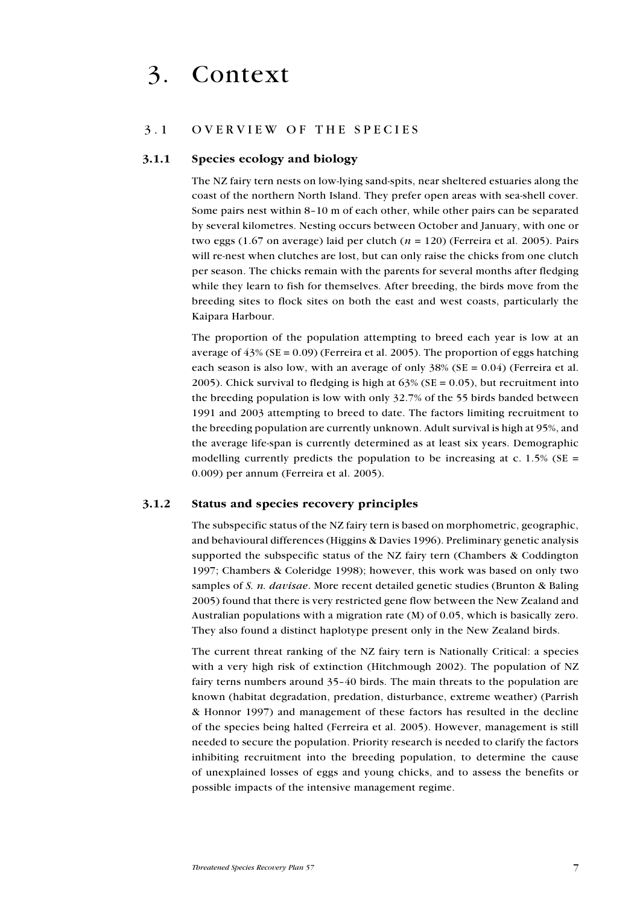## <span id="page-6-0"></span>3. Context

#### 3.1 OVERVIEW OF THE SPECIES

#### 3.1.1 Species ecology and biology

The NZ fairy tern nests on low-lying sand-spits, near sheltered estuaries along the coast of the northern North Island. They prefer open areas with sea-shell cover. Some pairs nest within 8–10 m of each other, while other pairs can be separated by several kilometres. Nesting occurs between October and January, with one or two eggs (1.67 on average) laid per clutch ( $n = 120$ ) (Ferreira et al. 2005). Pairs will re-nest when clutches are lost, but can only raise the chicks from one clutch per season. The chicks remain with the parents for several months after fledging while they learn to fish for themselves. After breeding, the birds move from the breeding sites to flock sites on both the east and west coasts, particularly the Kaipara Harbour.

The proportion of the population attempting to breed each year is low at an average of  $43\%$  (SE = 0.09) (Ferreira et al. 2005). The proportion of eggs hatching each season is also low, with an average of only  $38\%$  (SE = 0.04) (Ferreira et al. 2005). Chick survival to fledging is high at  $63\%$  (SE = 0.05), but recruitment into the breeding population is low with only 32.7% of the 55 birds banded between 1991 and 2003 attempting to breed to date. The factors limiting recruitment to the breeding population are currently unknown. Adult survival is high at 95%, and the average life-span is currently determined as at least six years. Demographic modelling currently predicts the population to be increasing at c. 1.5% ( $SE =$ 0.009) per annum (Ferreira et al. 2005).

#### 3.1.2 Status and species recovery principles

The subspecific status of the NZ fairy tern is based on morphometric, geographic, and behavioural differences (Higgins & Davies 1996). Preliminary genetic analysis supported the subspecific status of the NZ fairy tern (Chambers & Coddington 1997; Chambers & Coleridge 1998); however, this work was based on only two samples of S. n. *davisae*. More recent detailed genetic studies (Brunton & Baling 2005) found that there is very restricted gene flow between the New Zealand and Australian populations with a migration rate (M) of 0.05, which is basically zero. They also found a distinct haplotype present only in the New Zealand birds.

The current threat ranking of the NZ fairy tern is Nationally Critical: a species with a very high risk of extinction (Hitchmough 2002). The population of NZ fairy terns numbers around 35–40 birds. The main threats to the population are known (habitat degradation, predation, disturbance, extreme weather) (Parrish & Honnor 1997) and management of these factors has resulted in the decline of the species being halted (Ferreira et al. 2005). However, management is still needed to secure the population. Priority research is needed to clarify the factors inhibiting recruitment into the breeding population, to determine the cause of unexplained losses of eggs and young chicks, and to assess the benefits or possible impacts of the intensive management regime.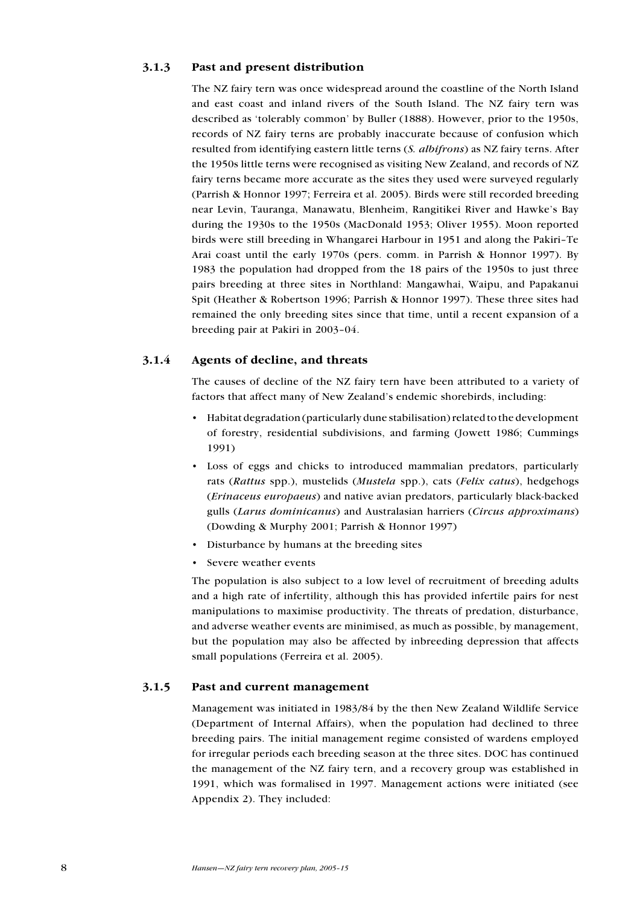#### <span id="page-7-0"></span>3.1.3 Past and present distribution

The NZ fairy tern was once widespread around the coastline of the North Island and east coast and inland rivers of the South Island. The NZ fairy tern was described as 'tolerably common' by Buller (1888). However, prior to the 1950s, records of NZ fairy terns are probably inaccurate because of confusion which resulted from identifying eastern little terns (S. albifrons) as NZ fairy terns. After the 1950s little terns were recognised as visiting New Zealand, and records of NZ fairy terns became more accurate as the sites they used were surveyed regularly (Parrish & Honnor 1997; Ferreira et al. 2005). Birds were still recorded breeding near Levin, Tauranga, Manawatu, Blenheim, Rangitikei River and Hawke's Bay during the 1930s to the 1950s (MacDonald 1953; Oliver 1955). Moon reported birds were still breeding in Whangarei Harbour in 1951 and along the Pakiri–Te Arai coast until the early 1970s (pers. comm. in Parrish & Honnor 1997). By 1983 the population had dropped from the 18 pairs of the 1950s to just three pairs breeding at three sites in Northland: Mangawhai, Waipu, and Papakanui Spit (Heather & Robertson 1996; Parrish & Honnor 1997). These three sites had remained the only breeding sites since that time, until a recent expansion of a breeding pair at Pakiri in 2003–04.

## 3.1.4 Agents of decline, and threats

The causes of decline of the NZ fairy tern have been attributed to a variety of factors that affect many of New Zealand's endemic shorebirds, including:

- Habitat degradation (particularly dune stabilisation) related to the development of forestry, residential subdivisions, and farming (Jowett 1986; Cummings 1991)
- Loss of eggs and chicks to introduced mammalian predators, particularly rats (Rattus spp.), mustelids (Mustela spp.), cats (Felix catus), hedgehogs (Erinaceus europaeus) and native avian predators, particularly black-backed gulls (Larus dominicanus) and Australasian harriers (Circus approximans) (Dowding & Murphy 2001; Parrish & Honnor 1997)
- Disturbance by humans at the breeding sites
- Severe weather events •

The population is also subject to a low level of recruitment of breeding adults and a high rate of infertility, although this has provided infertile pairs for nest manipulations to maximise productivity. The threats of predation, disturbance, and adverse weather events are minimised, as much as possible, by management, but the population may also be affected by inbreeding depression that affects small populations (Ferreira et al. 2005).

## 3.1.5 Past and current management

Management was initiated in 1983/84 by the then New Zealand Wildlife Service (Department of Internal Affairs), when the population had declined to three breeding pairs. The initial management regime consisted of wardens employed for irregular periods each breeding season at the three sites. DOC has continued the management of the NZ fairy tern, and a recovery group was established in 1991, which was formalised in 1997. Management actions were initiated (see Appendix 2). They included: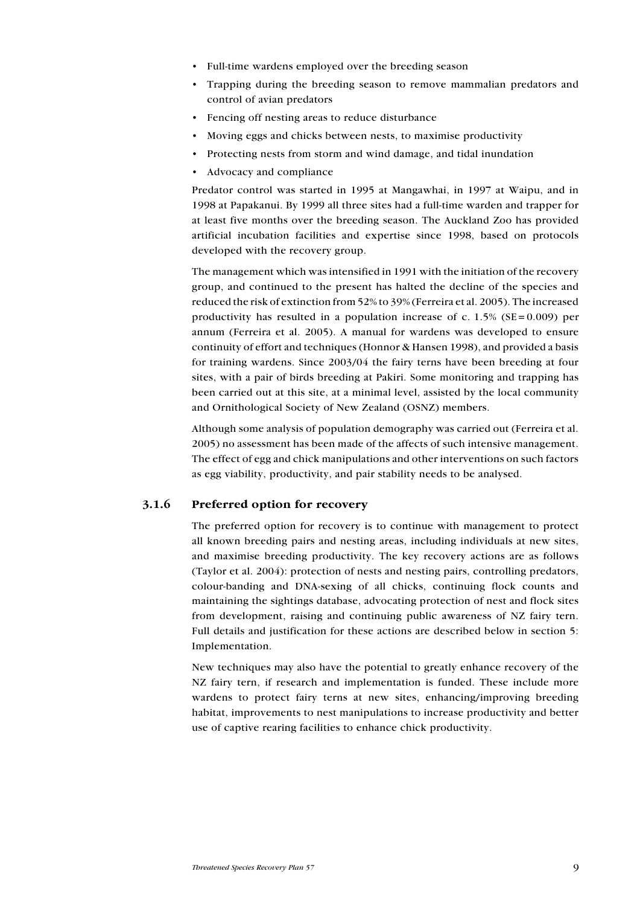- <span id="page-8-0"></span>• Full-time wardens employed over the breeding season
- Trapping during the breeding season to remove mammalian predators and control of avian predators •
- Fencing off nesting areas to reduce disturbance
- Moving eggs and chicks between nests, to maximise productivity
- Protecting nests from storm and wind damage, and tidal inundation
- Advocacy and compliance

Predator control was started in 1995 at Mangawhai, in 1997 at Waipu, and in 1998 at Papakanui. By 1999 all three sites had a full-time warden and trapper for at least five months over the breeding season. The Auckland Zoo has provided artificial incubation facilities and expertise since 1998, based on protocols developed with the recovery group.

The management which was intensified in 1991 with the initiation of the recovery group, and continued to the present has halted the decline of the species and reduced the risk of extinction from 52% to 39% (Ferreira et al. 2005). The increased productivity has resulted in a population increase of c.  $1.5\%$  (SE = 0.009) per annum (Ferreira et al. 2005). A manual for wardens was developed to ensure continuity of effort and techniques (Honnor & Hansen 1998), and provided a basis for training wardens. Since 2003/04 the fairy terns have been breeding at four sites, with a pair of birds breeding at Pakiri. Some monitoring and trapping has been carried out at this site, at a minimal level, assisted by the local community and Ornithological Society of New Zealand (OSNZ) members.

Although some analysis of population demography was carried out (Ferreira et al. 2005) no assessment has been made of the affects of such intensive management. The effect of egg and chick manipulations and other interventions on such factors as egg viability, productivity, and pair stability needs to be analysed.

#### 3.1.6 Preferred option for recovery

The preferred option for recovery is to continue with management to protect all known breeding pairs and nesting areas, including individuals at new sites, and maximise breeding productivity. The key recovery actions are as follows (Taylor et al. 2004): protection of nests and nesting pairs, controlling predators, colour-banding and DNA-sexing of all chicks, continuing flock counts and maintaining the sightings database, advocating protection of nest and flock sites from development, raising and continuing public awareness of NZ fairy tern. Full details and justification for these actions are described below in section 5: Implementation.

New techniques may also have the potential to greatly enhance recovery of the NZ fairy tern, if research and implementation is funded. These include more wardens to protect fairy terns at new sites, enhancing/improving breeding habitat, improvements to nest manipulations to increase productivity and better use of captive rearing facilities to enhance chick productivity.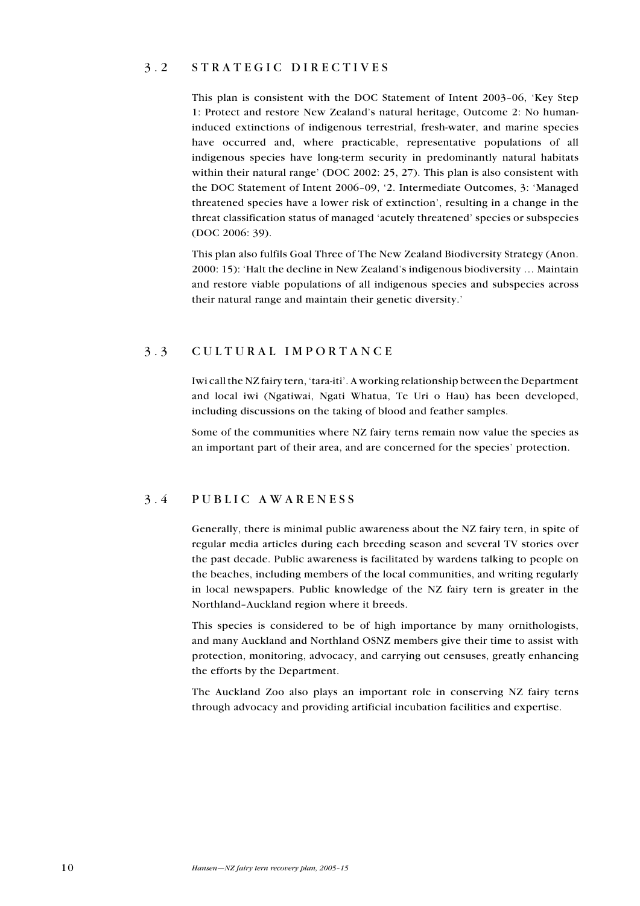## <span id="page-9-0"></span>3.2 STRATEGIC DIRECTIVES

This plan is consistent with the DOC Statement of Intent 2003–06, 'Key Step 1: Protect and restore New Zealand's natural heritage, Outcome 2: No humaninduced extinctions of indigenous terrestrial, fresh-water, and marine species have occurred and, where practicable, representative populations of all indigenous species have long-term security in predominantly natural habitats within their natural range' (DOC 2002: 25, 27). This plan is also consistent with the DOC Statement of Intent 2006–09, '2. Intermediate Outcomes, 3: 'Managed threatened species have a lower risk of extinction', resulting in a change in the threat classification status of managed 'acutely threatened' species or subspecies (DOC 2006: 39).

This plan also fulfils Goal Three of The New Zealand Biodiversity Strategy (Anon. 2000: 15): 'Halt the decline in New Zealand's indigenous biodiversity … Maintain and restore viable populations of all indigenous species and subspecies across their natural range and maintain their genetic diversity.'

## 3 . 3 C ultural importanc e

Iwi call the NZ fairy tern, 'tara-iti'. A working relationship between the Department and local iwi (Ngatiwai, Ngati Whatua, Te Uri o Hau) has been developed, including discussions on the taking of blood and feather samples.

Some of the communities where NZ fairy terns remain now value the species as an important part of their area, and are concerned for the species' protection.

## 3 . 4 P ublic awar e n e ss

Generally, there is minimal public awareness about the NZ fairy tern, in spite of regular media articles during each breeding season and several TV stories over the past decade. Public awareness is facilitated by wardens talking to people on the beaches, including members of the local communities, and writing regularly in local newspapers. Public knowledge of the NZ fairy tern is greater in the Northland–Auckland region where it breeds.

This species is considered to be of high importance by many ornithologists, and many Auckland and Northland OSNZ members give their time to assist with protection, monitoring, advocacy, and carrying out censuses, greatly enhancing the efforts by the Department.

The Auckland Zoo also plays an important role in conserving NZ fairy terns through advocacy and providing artificial incubation facilities and expertise.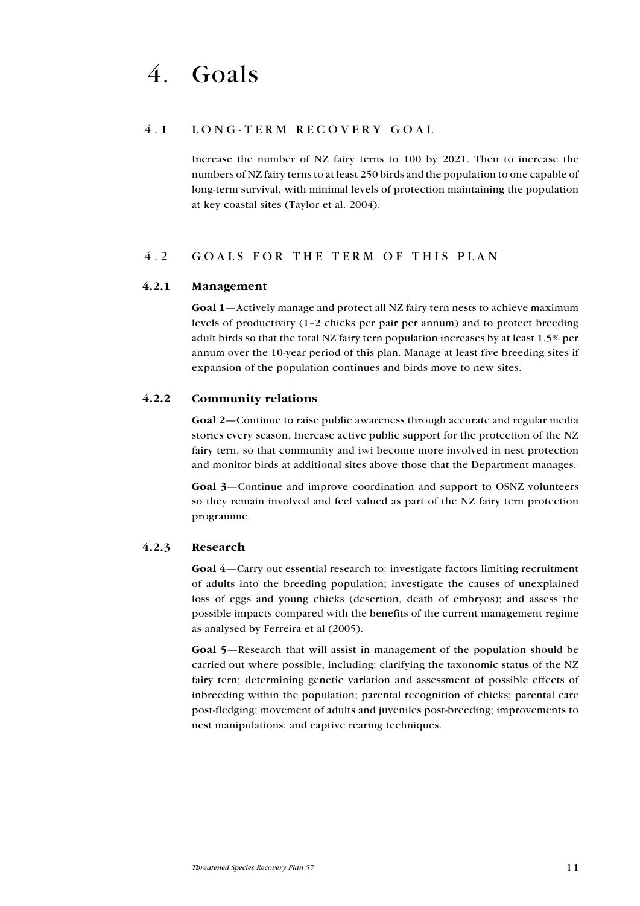## <span id="page-10-0"></span>4.1 LONG-TERM RECOVERY GOAL

Increase the number of NZ fairy terns to 100 by 2021. Then to increase the numbers of NZ fairy terns to at least 250 birds and the population to one capable of long-term survival, with minimal levels of protection maintaining the population at key coastal sites (Taylor et al. 2004).

## 4.2 GOALS FOR THE TERM OF THIS PLAN

#### 4.2.1 Management

Goal 1—Actively manage and protect all NZ fairy tern nests to achieve maximum levels of productivity (1–2 chicks per pair per annum) and to protect breeding adult birds so that the total NZ fairy tern population increases by at least 1.5% per annum over the 10-year period of this plan. Manage at least five breeding sites if expansion of the population continues and birds move to new sites.

#### 4.2.2 Community relations

Goal 2—Continue to raise public awareness through accurate and regular media stories every season. Increase active public support for the protection of the NZ fairy tern, so that community and iwi become more involved in nest protection and monitor birds at additional sites above those that the Department manages.

Goal 3—Continue and improve coordination and support to OSNZ volunteers so they remain involved and feel valued as part of the NZ fairy tern protection programme.

#### 4.2.3 Research

Goal 4—Carry out essential research to: investigate factors limiting recruitment of adults into the breeding population; investigate the causes of unexplained loss of eggs and young chicks (desertion, death of embryos); and assess the possible impacts compared with the benefits of the current management regime as analysed by Ferreira et al (2005).

Goal 5—Research that will assist in management of the population should be carried out where possible, including: clarifying the taxonomic status of the NZ fairy tern; determining genetic variation and assessment of possible effects of inbreeding within the population; parental recognition of chicks; parental care post-fledging; movement of adults and juveniles post-breeding; improvements to nest manipulations; and captive rearing techniques.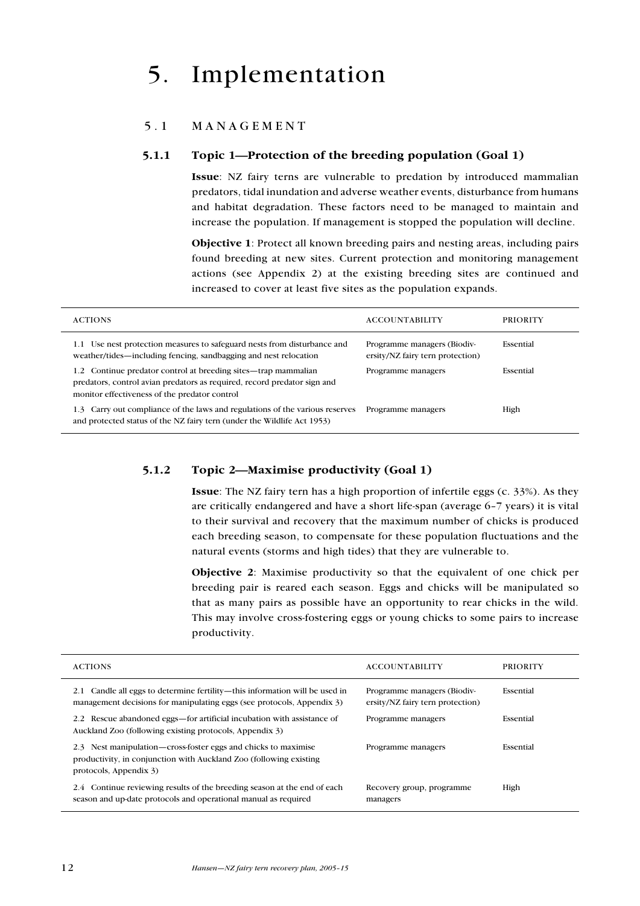# <span id="page-11-0"></span>5. Implementation

## 5.1 MANAGEMENT

#### 5.1.1 Topic 1—Protection of the breeding population (Goal 1)

Issue: NZ fairy terns are vulnerable to predation by introduced mammalian predators, tidal inundation and adverse weather events, disturbance from humans and habitat degradation. These factors need to be managed to maintain and increase the population. If management is stopped the population will decline.

Objective 1: Protect all known breeding pairs and nesting areas, including pairs found breeding at new sites. Current protection and monitoring management actions (see Appendix 2) at the existing breeding sites are continued and increased to cover at least five sites as the population expands.

| <b>ACTIONS</b>                                                                                                                                                                                 | <b>ACCOUNTABILITY</b>                                           | <b>PRIORITY</b> |
|------------------------------------------------------------------------------------------------------------------------------------------------------------------------------------------------|-----------------------------------------------------------------|-----------------|
| Use nest protection measures to safeguard nests from disturbance and<br>1.1<br>weather/tides—including fencing, sandbagging and nest relocation                                                | Programme managers (Biodiv-<br>ersity/NZ fairy tern protection) | Essential       |
| Continue predator control at breeding sites—trap mammalian<br>1.2<br>predators, control avian predators as required, record predator sign and<br>monitor effectiveness of the predator control | Programme managers                                              | Essential       |
| Carry out compliance of the laws and regulations of the various reserves<br>1.3<br>and protected status of the NZ fairy tern (under the Wildlife Act 1953)                                     | Programme managers                                              | High            |

#### 5.1.2 Topic 2—Maximise productivity (Goal 1)

Issue: The NZ fairy tern has a high proportion of infertile eggs (c. 33%). As they are critically endangered and have a short life-span (average 6–7 years) it is vital to their survival and recovery that the maximum number of chicks is produced each breeding season, to compensate for these population fluctuations and the natural events (storms and high tides) that they are vulnerable to.

Objective 2: Maximise productivity so that the equivalent of one chick per breeding pair is reared each season. Eggs and chicks will be manipulated so that as many pairs as possible have an opportunity to rear chicks in the wild. This may involve cross-fostering eggs or young chicks to some pairs to increase productivity.

| <b>ACTIONS</b>                                                                                                                                                 | <b>ACCOUNTABILITY</b>                                           | <b>PRIORITY</b> |
|----------------------------------------------------------------------------------------------------------------------------------------------------------------|-----------------------------------------------------------------|-----------------|
| Candle all eggs to determine fertility—this information will be used in<br>2.1<br>management decisions for manipulating eggs (see protocols, Appendix 3)       | Programme managers (Biodiv-<br>ersity/NZ fairy tern protection) | Essential       |
| Rescue abandoned eggs—for artificial incubation with assistance of<br>2.2<br>Auckland Zoo (following existing protocols, Appendix 3)                           | Programme managers                                              | Essential       |
| 2.3 Nest manipulation—cross-foster eggs and chicks to maximise<br>productivity, in conjunction with Auckland Zoo (following existing<br>protocols, Appendix 3) | Programme managers                                              | Essential       |
| Continue reviewing results of the breeding season at the end of each<br>2.4<br>season and up-date protocols and operational manual as required                 | Recovery group, programme<br>managers                           | High            |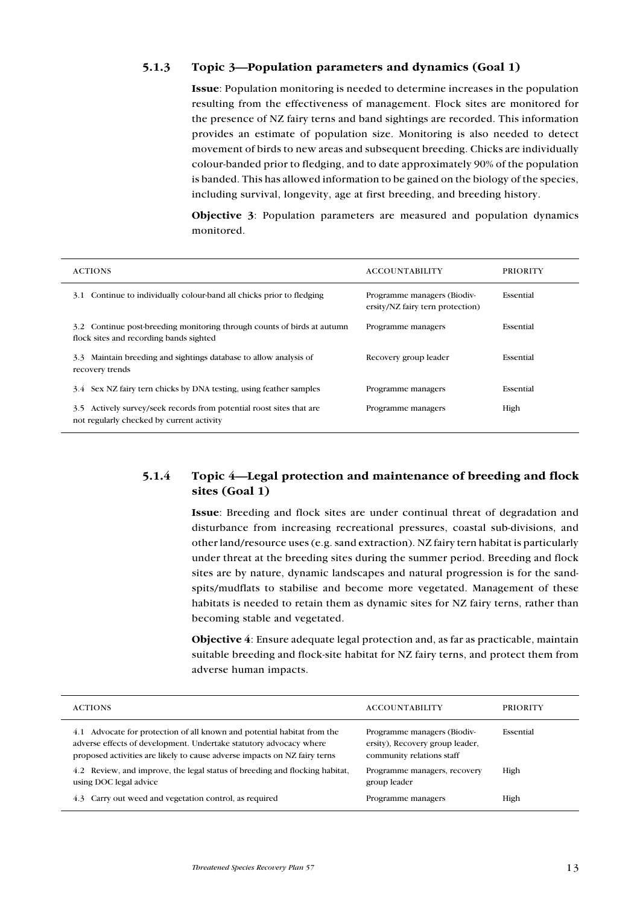## <span id="page-12-0"></span>5.1.3 Topic 3—Population parameters and dynamics (Goal 1)

Issue: Population monitoring is needed to determine increases in the population resulting from the effectiveness of management. Flock sites are monitored for the presence of NZ fairy terns and band sightings are recorded. This information provides an estimate of population size. Monitoring is also needed to detect movement of birds to new areas and subsequent breeding. Chicks are individually colour-banded prior to fledging, and to date approximately 90% of the population is banded. This has allowed information to be gained on the biology of the species, including survival, longevity, age at first breeding, and breeding history.

Objective 3: Population parameters are measured and population dynamics monitored.

| <b>ACTIONS</b>                                                                                                       | <b>ACCOUNTABILITY</b>                                           | <b>PRIORITY</b> |
|----------------------------------------------------------------------------------------------------------------------|-----------------------------------------------------------------|-----------------|
| Continue to individually colour-band all chicks prior to fledging<br>3.1                                             | Programme managers (Biodiv-<br>ersity/NZ fairy tern protection) | Essential       |
| 3.2 Continue post-breeding monitoring through counts of birds at autumn<br>flock sites and recording bands sighted   | Programme managers                                              | Essential       |
| Maintain breeding and sightings database to allow analysis of<br>3.3<br>recovery trends                              | Recovery group leader                                           | Essential       |
| 3.4 Sex NZ fairy tern chicks by DNA testing, using feather samples                                                   | Programme managers                                              | Essential       |
| Actively survey/seek records from potential roost sites that are<br>3.5<br>not regularly checked by current activity | Programme managers                                              | High            |

## 5.1.4 Topic 4—Legal protection and maintenance of breeding and flock sites (Goal 1)

Issue: Breeding and flock sites are under continual threat of degradation and disturbance from increasing recreational pressures, coastal sub-divisions, and other land/resource uses (e.g. sand extraction). NZ fairy tern habitat is particularly under threat at the breeding sites during the summer period. Breeding and flock sites are by nature, dynamic landscapes and natural progression is for the sandspits/mudflats to stabilise and become more vegetated. Management of these habitats is needed to retain them as dynamic sites for NZ fairy terns, rather than becoming stable and vegetated.

Objective 4: Ensure adequate legal protection and, as far as practicable, maintain suitable breeding and flock-site habitat for NZ fairy terns, and protect them from adverse human impacts.

| <b>ACTIONS</b>                                                                                                                                                                                                                | <b>ACCOUNTABILITY</b>                                                                       | <b>PRIORITY</b> |
|-------------------------------------------------------------------------------------------------------------------------------------------------------------------------------------------------------------------------------|---------------------------------------------------------------------------------------------|-----------------|
| Advocate for protection of all known and potential habitat from the<br>4.1<br>adverse effects of development. Undertake statutory advocacy where<br>proposed activities are likely to cause adverse impacts on NZ fairy terns | Programme managers (Biodiv-<br>ersity), Recovery group leader,<br>community relations staff | Essential       |
| Review, and improve, the legal status of breeding and flocking habitat,<br>4.2<br>using DOC legal advice                                                                                                                      | Programme managers, recovery<br>group leader                                                | High            |
| Carry out weed and vegetation control, as required<br>4.3                                                                                                                                                                     | Programme managers                                                                          | High            |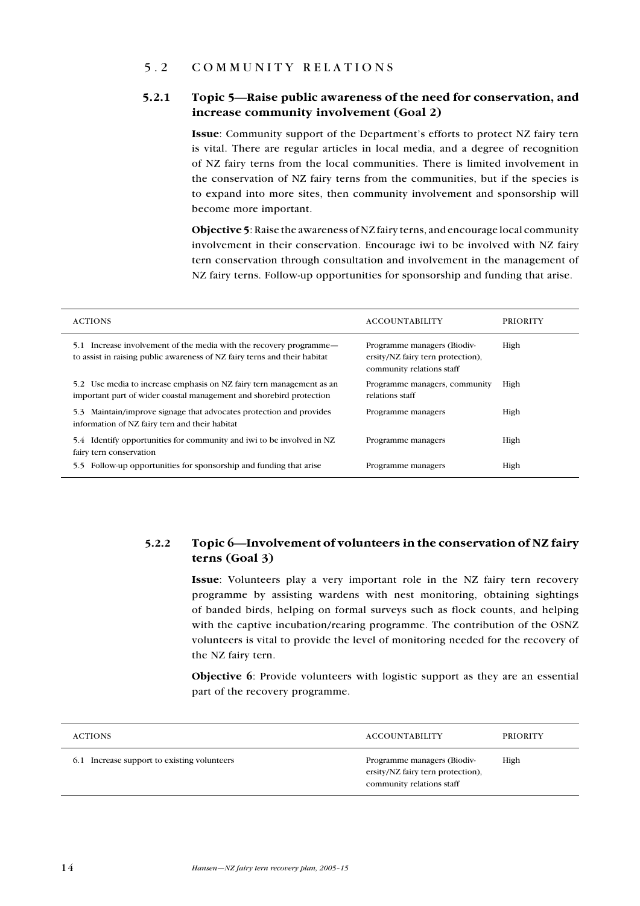## <span id="page-13-0"></span>5 . 2 C ommunit y r e lations

## 5.2.1 Topic 5—Raise public awareness of the need for conservation, and increase community involvement (Goal 2)

Issue: Community support of the Department's efforts to protect NZ fairy tern is vital. There are regular articles in local media, and a degree of recognition of NZ fairy terns from the local communities. There is limited involvement in the conservation of NZ fairy terns from the communities, but if the species is to expand into more sites, then community involvement and sponsorship will become more important.

Objective 5: Raise the awareness of NZ fairy terns, and encourage local community involvement in their conservation. Encourage iwi to be involved with NZ fairy tern conservation through consultation and involvement in the management of NZ fairy terns. Follow-up opportunities for sponsorship and funding that arise.

| <b>ACTIONS</b>                                                                                                                                     | <b>ACCOUNTABILITY</b>                                                                         | <b>PRIORITY</b> |
|----------------------------------------------------------------------------------------------------------------------------------------------------|-----------------------------------------------------------------------------------------------|-----------------|
| Increase involvement of the media with the recovery programme—<br>5.1<br>to assist in raising public awareness of NZ fairy terns and their habitat | Programme managers (Biodiv-<br>ersity/NZ fairy tern protection),<br>community relations staff | High            |
| 5.2 Use media to increase emphasis on NZ fairy tern management as an<br>important part of wider coastal management and shorebird protection        | Programme managers, community<br>relations staff                                              | High            |
| Maintain/improve signage that advocates protection and provides<br>5.3<br>information of NZ fairy tern and their habitat                           | Programme managers                                                                            | High            |
| Identify opportunities for community and iwi to be involved in NZ<br>5.4<br>fairy tern conservation                                                | Programme managers                                                                            | High            |
| Follow-up opportunities for sponsorship and funding that arise<br>5.5                                                                              | Programme managers                                                                            | High            |

## 5.2.2 Topic 6—Involvement of volunteers in the conservation of NZ fairy terns (Goal 3)

Issue: Volunteers play a very important role in the NZ fairy tern recovery programme by assisting wardens with nest monitoring, obtaining sightings of banded birds, helping on formal surveys such as flock counts, and helping with the captive incubation/rearing programme. The contribution of the OSNZ volunteers is vital to provide the level of monitoring needed for the recovery of the NZ fairy tern.

Objective 6: Provide volunteers with logistic support as they are an essential part of the recovery programme.

| <b>ACTIONS</b>                              | <b>ACCOUNTABILITY</b>                                                                         | <b>PRIORITY</b> |
|---------------------------------------------|-----------------------------------------------------------------------------------------------|-----------------|
| 6.1 Increase support to existing volunteers | Programme managers (Biodiv-<br>ersity/NZ fairy tern protection),<br>community relations staff | High            |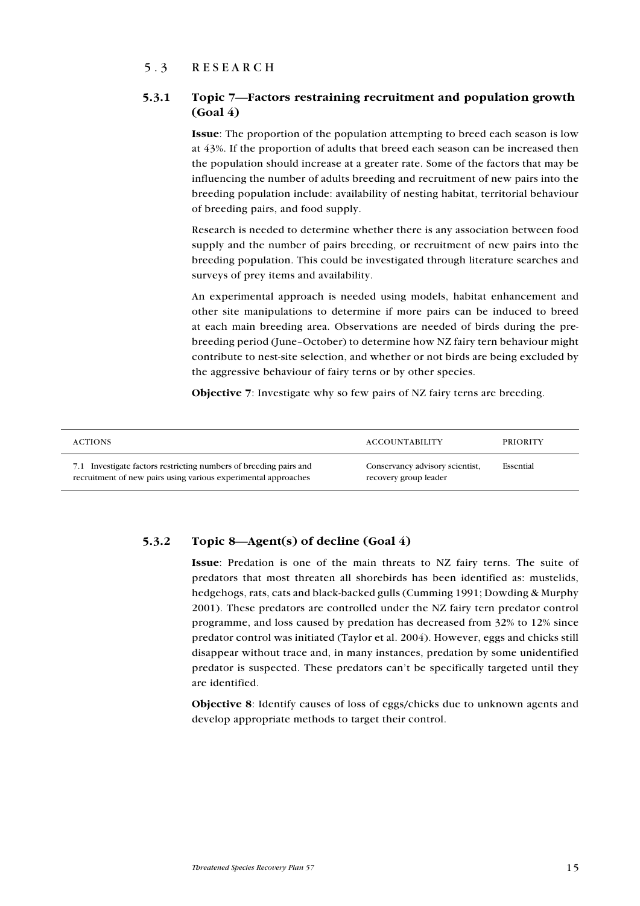## <span id="page-14-0"></span>5.3 RESEARCH

## 5.3.1 Topic 7—Factors restraining recruitment and population growth (Goal 4)

Issue: The proportion of the population attempting to breed each season is low at 43%. If the proportion of adults that breed each season can be increased then the population should increase at a greater rate. Some of the factors that may be influencing the number of adults breeding and recruitment of new pairs into the breeding population include: availability of nesting habitat, territorial behaviour of breeding pairs, and food supply.

Research is needed to determine whether there is any association between food supply and the number of pairs breeding, or recruitment of new pairs into the breeding population. This could be investigated through literature searches and surveys of prey items and availability.

An experimental approach is needed using models, habitat enhancement and other site manipulations to determine if more pairs can be induced to breed at each main breeding area. Observations are needed of birds during the prebreeding period (June–October) to determine how NZ fairy tern behaviour might contribute to nest-site selection, and whether or not birds are being excluded by the aggressive behaviour of fairy terns or by other species.

Objective 7: Investigate why so few pairs of NZ fairy terns are breeding.

| <b>ACTIONS</b>                                                                                                                      | <b>ACCOUNTABILITY</b>                                    | <b>PRIORITY</b> |
|-------------------------------------------------------------------------------------------------------------------------------------|----------------------------------------------------------|-----------------|
| 7.1 Investigate factors restricting numbers of breeding pairs and<br>recruitment of new pairs using various experimental approaches | Conservancy advisory scientist,<br>recovery group leader | Essential       |

## 5.3.2 Topic 8—Agent(s) of decline  $(Goa1 4)$

Issue: Predation is one of the main threats to NZ fairy terns. The suite of predators that most threaten all shorebirds has been identified as: mustelids, hedgehogs, rats, cats and black-backed gulls (Cumming 1991; Dowding & Murphy 2001). These predators are controlled under the NZ fairy tern predator control programme, and loss caused by predation has decreased from 32% to 12% since predator control was initiated (Taylor et al. 2004). However, eggs and chicks still disappear without trace and, in many instances, predation by some unidentified predator is suspected. These predators can't be specifically targeted until they are identified.

Objective 8: Identify causes of loss of eggs/chicks due to unknown agents and develop appropriate methods to target their control.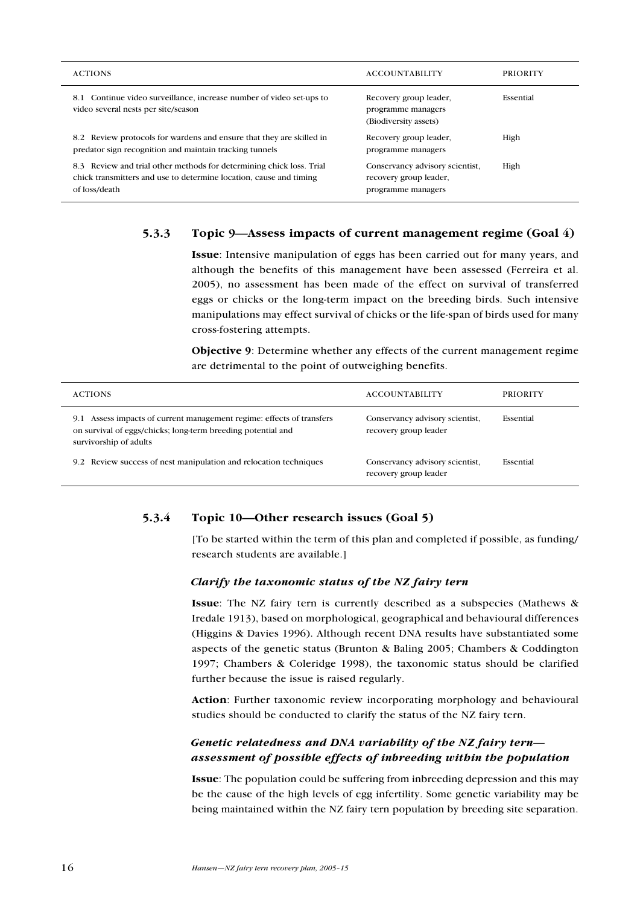<span id="page-15-0"></span>

| <b>ACTIONS</b>                                                                                                                                              | <b>ACCOUNTABILITY</b>                                                           | <b>PRIORITY</b> |
|-------------------------------------------------------------------------------------------------------------------------------------------------------------|---------------------------------------------------------------------------------|-----------------|
| 8.1 Continue video surveillance, increase number of video set-ups to<br>video several nests per site/season                                                 | Recovery group leader,<br>programme managers<br>(Biodiversity assets)           | Essential       |
| 8.2 Review protocols for wardens and ensure that they are skilled in<br>predator sign recognition and maintain tracking tunnels                             | Recovery group leader,<br>programme managers                                    | High            |
| 8.3 Review and trial other methods for determining chick loss. Trial<br>chick transmitters and use to determine location, cause and timing<br>of loss/death | Conservancy advisory scientist,<br>recovery group leader,<br>programme managers | High            |

## 5.3.3 Topic 9—Assess impacts of current management regime (Goal 4)

Issue: Intensive manipulation of eggs has been carried out for many years, and although the benefits of this management have been assessed (Ferreira et al. 2005), no assessment has been made of the effect on survival of transferred eggs or chicks or the long-term impact on the breeding birds. Such intensive manipulations may effect survival of chicks or the life-span of birds used for many cross-fostering attempts.

Objective 9: Determine whether any effects of the current management regime are detrimental to the point of outweighing benefits.

| <b>ACTIONS</b>                                                                                                                                                     | <b>ACCOUNTABILITY</b>                                    | <b>PRIORITY</b> |
|--------------------------------------------------------------------------------------------------------------------------------------------------------------------|----------------------------------------------------------|-----------------|
| Assess impacts of current management regime: effects of transfers<br>9.1<br>on survival of eggs/chicks; long-term breeding potential and<br>survivorship of adults | Conservancy advisory scientist,<br>recovery group leader | Essential       |
| 9.2 Review success of nest manipulation and relocation techniques                                                                                                  | Conservancy advisory scientist,<br>recovery group leader | Essential       |

## 5.3.4 Topic 10—Other research issues (Goal 5)

[To be started within the term of this plan and completed if possible, as funding/ research students are available.]

## Clarify the taxonomic status of the NZ fairy tern

Issue: The NZ fairy tern is currently described as a subspecies (Mathews & Iredale 1913), based on morphological, geographical and behavioural differences (Higgins & Davies 1996). Although recent DNA results have substantiated some aspects of the genetic status (Brunton & Baling 2005; Chambers & Coddington 1997; Chambers & Coleridge 1998), the taxonomic status should be clarified further because the issue is raised regularly.

Action: Further taxonomic review incorporating morphology and behavioural studies should be conducted to clarify the status of the NZ fairy tern.

## Genetic relatedness and DNA variability of the NZ fairy tern assessment of possible effects of inbreeding within the population

Issue: The population could be suffering from inbreeding depression and this may be the cause of the high levels of egg infertility. Some genetic variability may be being maintained within the NZ fairy tern population by breeding site separation.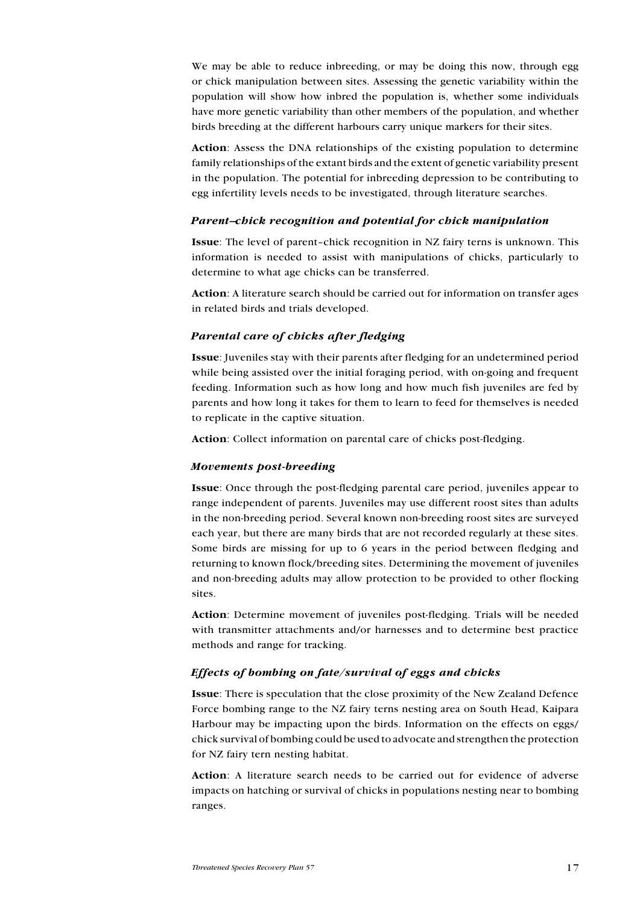We may be able to reduce inbreeding, or may be doing this now, through egg or chick manipulation between sites. Assessing the genetic variability within the population will show how inbred the population is, whether some individuals have more genetic variability than other members of the population, and whether birds breeding at the different harbours carry unique markers for their sites.

Action: Assess the DNA relationships of the existing population to determine family relationships of the extant birds and the extent of genetic variability present in the population. The potential for inbreeding depression to be contributing to egg infertility levels needs to be investigated, through literature searches.

#### Parent–chick recognition and potential for chick manipulation

Issue: The level of parent–chick recognition in NZ fairy terns is unknown. This information is needed to assist with manipulations of chicks, particularly to determine to what age chicks can be transferred.

Action: A literature search should be carried out for information on transfer ages in related birds and trials developed.

#### Parental care of chicks after fledging

Issue: Juveniles stay with their parents after fledging for an undetermined period while being assisted over the initial foraging period, with on-going and frequent feeding. Information such as how long and how much fish juveniles are fed by parents and how long it takes for them to learn to feed for themselves is needed to replicate in the captive situation.

Action: Collect information on parental care of chicks post-fledging.

#### Movements post-breeding

Issue: Once through the post-fledging parental care period, juveniles appear to range independent of parents. Juveniles may use different roost sites than adults in the non-breeding period. Several known non-breeding roost sites are surveyed each year, but there are many birds that are not recorded regularly at these sites. Some birds are missing for up to 6 years in the period between fledging and returning to known flock/breeding sites. Determining the movement of juveniles and non-breeding adults may allow protection to be provided to other flocking sites.

Action: Determine movement of juveniles post-fledging. Trials will be needed with transmitter attachments and/or harnesses and to determine best practice methods and range for tracking.

#### Effects of bombing on fate/survival of eggs and chicks

Issue: There is speculation that the close proximity of the New Zealand Defence Force bombing range to the NZ fairy terns nesting area on South Head, Kaipara Harbour may be impacting upon the birds. Information on the effects on eggs/ chick survival of bombing could be used to advocate and strengthen the protection for NZ fairy tern nesting habitat.

Action: A literature search needs to be carried out for evidence of adverse impacts on hatching or survival of chicks in populations nesting near to bombing ranges.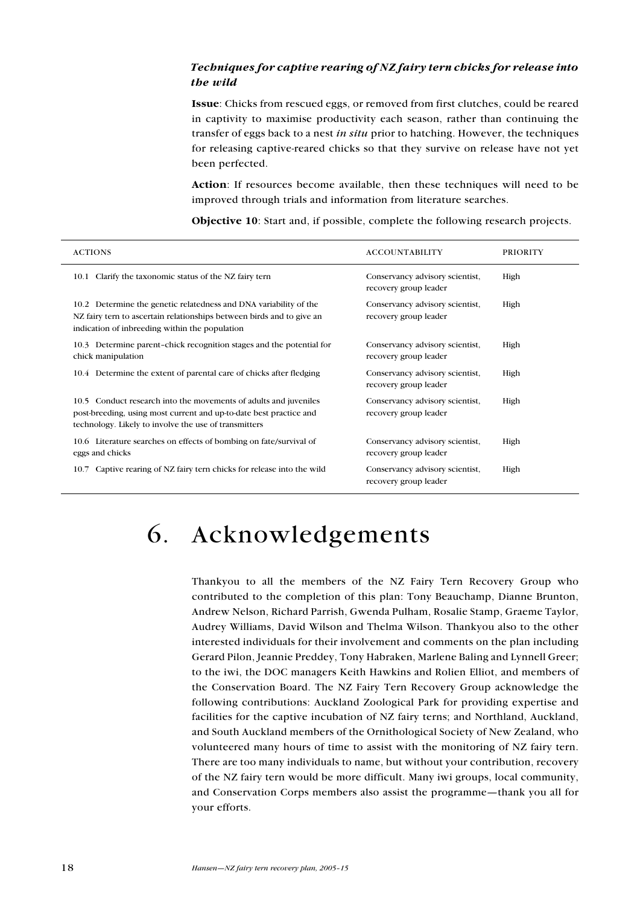## <span id="page-17-0"></span> Techniques for captive rearing of NZ fairy tern chicks for release into the wild

Issue: Chicks from rescued eggs, or removed from first clutches, could be reared in captivity to maximise productivity each season, rather than continuing the transfer of eggs back to a nest in situ prior to hatching. However, the techniques for releasing captive-reared chicks so that they survive on release have not yet been perfected.

Action: If resources become available, then these techniques will need to be improved through trials and information from literature searches.

Objective 10: Start and, if possible, complete the following research projects.

| <b>ACTIONS</b>                                                                                                                                                                                     | <b>ACCOUNTABILITY</b>                                    | <b>PRIORITY</b> |
|----------------------------------------------------------------------------------------------------------------------------------------------------------------------------------------------------|----------------------------------------------------------|-----------------|
| Clarify the taxonomic status of the NZ fairy tern<br>10.1                                                                                                                                          | Conservancy advisory scientist,<br>recovery group leader | High            |
| 10.2 Determine the genetic relatedness and DNA variability of the<br>NZ fairy tern to ascertain relationships between birds and to give an<br>indication of inbreeding within the population       | Conservancy advisory scientist,<br>recovery group leader | High            |
| 10.3 Determine parent-chick recognition stages and the potential for<br>chick manipulation                                                                                                         | Conservancy advisory scientist,<br>recovery group leader | High            |
| 10.4 Determine the extent of parental care of chicks after fledging                                                                                                                                | Conservancy advisory scientist,<br>recovery group leader | High            |
| Conduct research into the movements of adults and juveniles<br>10.5<br>post-breeding, using most current and up-to-date best practice and<br>technology. Likely to involve the use of transmitters | Conservancy advisory scientist,<br>recovery group leader | High            |
| 10.6 Literature searches on effects of bombing on fate/survival of<br>eggs and chicks                                                                                                              | Conservancy advisory scientist,<br>recovery group leader | High            |
| Captive rearing of NZ fairy tern chicks for release into the wild<br>10.7                                                                                                                          | Conservancy advisory scientist,<br>recovery group leader | High            |

## 6. Acknowledgements

Thankyou to all the members of the NZ Fairy Tern Recovery Group who contributed to the completion of this plan: Tony Beauchamp, Dianne Brunton, Andrew Nelson, Richard Parrish, Gwenda Pulham, Rosalie Stamp, Graeme Taylor, Audrey Williams, David Wilson and Thelma Wilson. Thankyou also to the other interested individuals for their involvement and comments on the plan including Gerard Pilon, Jeannie Preddey, Tony Habraken, Marlene Baling and Lynnell Greer; to the iwi, the DOC managers Keith Hawkins and Rolien Elliot, and members of the Conservation Board. The NZ Fairy Tern Recovery Group acknowledge the following contributions: Auckland Zoological Park for providing expertise and facilities for the captive incubation of NZ fairy terns; and Northland, Auckland, and South Auckland members of the Ornithological Society of New Zealand, who volunteered many hours of time to assist with the monitoring of NZ fairy tern. There are too many individuals to name, but without your contribution, recovery of the NZ fairy tern would be more difficult. Many iwi groups, local community, and Conservation Corps members also assist the programme—thank you all for your efforts.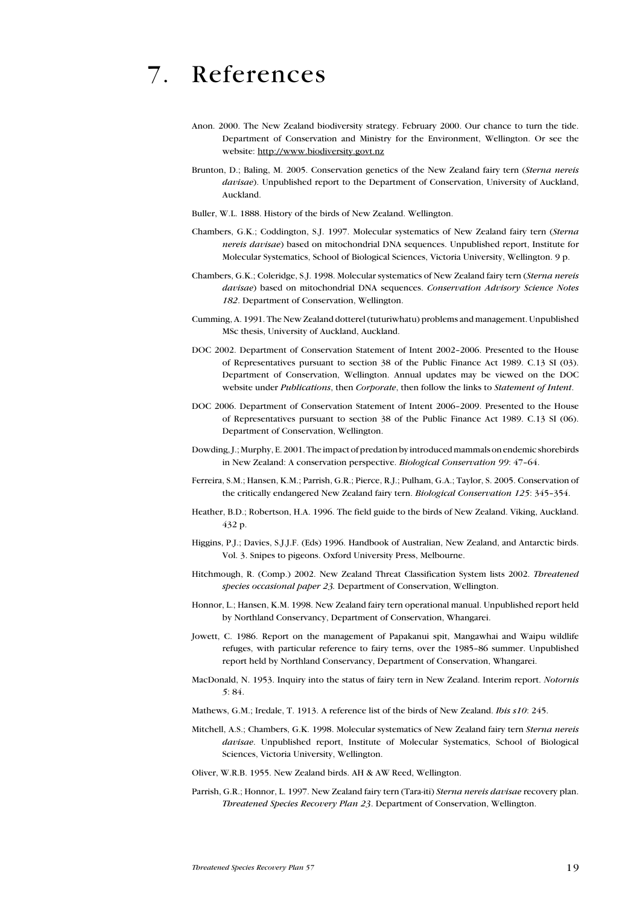## <span id="page-18-0"></span>7. References

- Anon. 2000. The New Zealand biodiversity strategy. February 2000. Our chance to turn the tide. Department of Conservation and Ministry for the Environment, Wellington. Or see the website: http://www.biodiversity.govt.nz
- Brunton, D.; Baling, M. 2005. Conservation genetics of the New Zealand fairy tern (Sterna nereis davisae). Unpublished report to the Department of Conservation, University of Auckland, Auckland.
- Buller, W.L. 1888. History of the birds of New Zealand. Wellington.
- Chambers, G.K.; Coddington, S.J. 1997. Molecular systematics of New Zealand fairy tern (Sterna nereis davisae) based on mitochondrial DNA sequences. Unpublished report, Institute for Molecular Systematics, School of Biological Sciences, Victoria University, Wellington. 9 p.
- Chambers, G.K.; Coleridge, S.J. 1998. Molecular systematics of New Zealand fairy tern (Sterna nereis davisae) based on mitochondrial DNA sequences. Conservation Advisory Science Notes 182. Department of Conservation, Wellington.
- Cumming, A. 1991. The New Zealand dotterel (tuturiwhatu) problems and management. Unpublished MSc thesis, University of Auckland, Auckland.
- DOC 2002. Department of Conservation Statement of Intent 2002–2006. Presented to the House of Representatives pursuant to section 38 of the Public Finance Act 1989. C.13 SI (03). Department of Conservation, Wellington. Annual updates may be viewed on the DOC website under Publications, then Corporate, then follow the links to Statement of Intent.
- DOC 2006. Department of Conservation Statement of Intent 2006–2009. Presented to the House of Representatives pursuant to section 38 of the Public Finance Act 1989. C.13 SI (06). Department of Conservation, Wellington.
- Dowding, J.; Murphy, E. 2001. The impact of predation by introduced mammals on endemic shorebirds in New Zealand: A conservation perspective. Biological Conservation 99: 47–64.
- Ferreira, S.M.; Hansen, K.M.; Parrish, G.R.; Pierce, R.J.; Pulham, G.A.; Taylor, S. 2005. Conservation of the critically endangered New Zealand fairy tern. Biological Conservation 125: 345–354.
- Heather, B.D.; Robertson, H.A. 1996. The field guide to the birds of New Zealand. Viking, Auckland. 432 p.
- Higgins, P.J.; Davies, S.J.J.F. (Eds) 1996. Handbook of Australian, New Zealand, and Antarctic birds. Vol. 3. Snipes to pigeons. Oxford University Press, Melbourne.
- Hitchmough, R. (Comp.) 2002. New Zealand Threat Classification System lists 2002. Threatened species occasional paper 23. Department of Conservation, Wellington.
- Honnor, L.; Hansen, K.M. 1998. New Zealand fairy tern operational manual. Unpublished report held by Northland Conservancy, Department of Conservation, Whangarei.
- Jowett, C. 1986. Report on the management of Papakanui spit, Mangawhai and Waipu wildlife refuges, with particular reference to fairy terns, over the 1985–86 summer. Unpublished report held by Northland Conservancy, Department of Conservation, Whangarei.
- MacDonald, N. 1953. Inquiry into the status of fairy tern in New Zealand. Interim report. Notornis 5: 84.
- Mathews, G.M.; Iredale, T. 1913. A reference list of the birds of New Zealand. Ibis s10: 245.
- Mitchell, A.S.; Chambers, G.K. 1998. Molecular systematics of New Zealand fairy tern Sterna nereis davisae. Unpublished report, Institute of Molecular Systematics, School of Biological Sciences, Victoria University, Wellington.
- Oliver, W.R.B. 1955. New Zealand birds. AH & AW Reed, Wellington.
- Parrish, G.R.; Honnor, L. 1997. New Zealand fairy tern (Tara-iti) Sterna nereis davisae recovery plan. Threatened Species Recovery Plan 23. Department of Conservation, Wellington.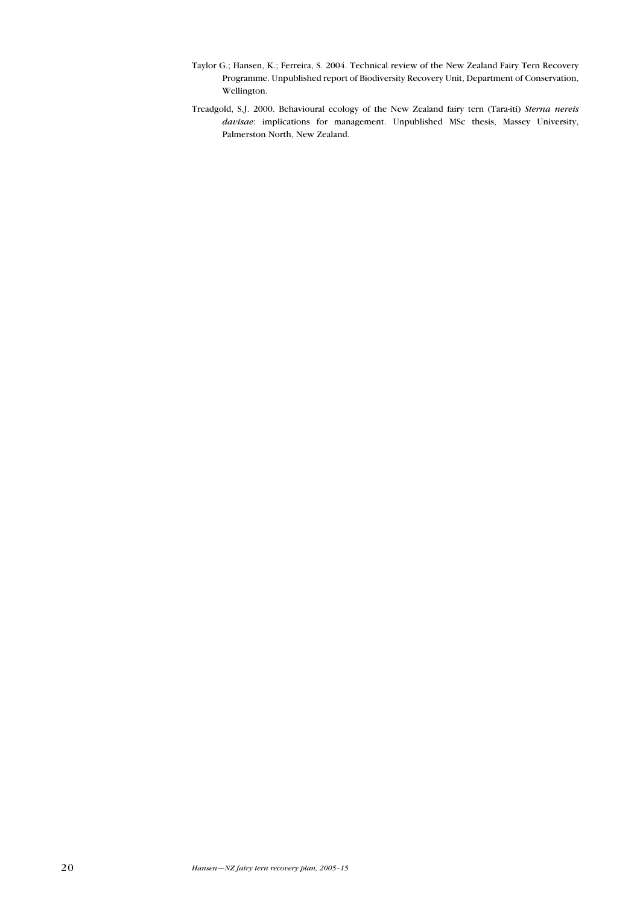- Taylor G.; Hansen, K.; Ferreira, S. 2004. Technical review of the New Zealand Fairy Tern Recovery Programme. Unpublished report of Biodiversity Recovery Unit, Department of Conservation, Wellington.
- Treadgold, S.J. 2000. Behavioural ecology of the New Zealand fairy tern (Tara-iti) Sterna nereis davisae: implications for management. Unpublished MSc thesis, Massey University, Palmerston North, New Zealand.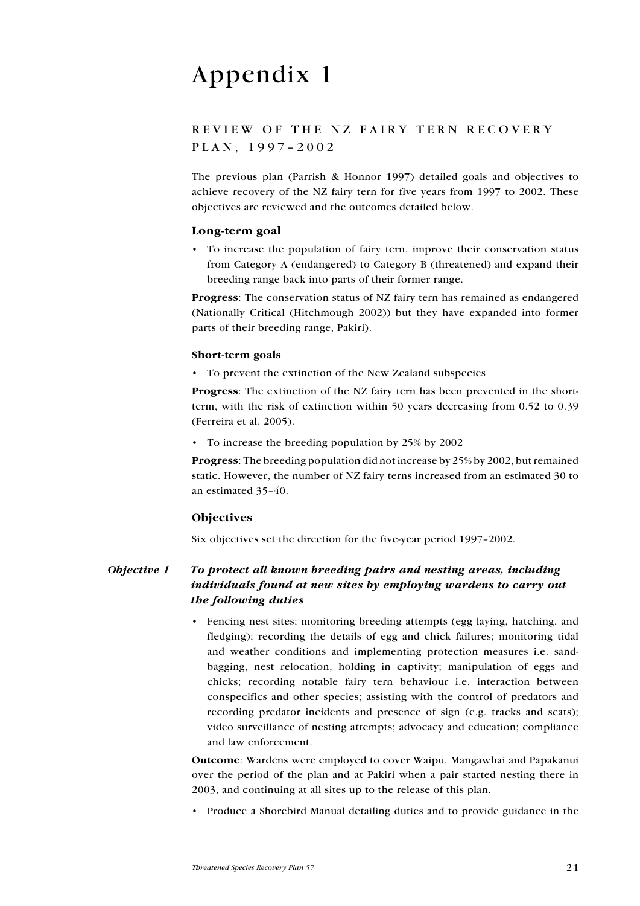# <span id="page-20-0"></span>Appendix 1

## REVIEW OF THE NZ FAIRY TERN RECOVERY P L A N, 1997-2002

The previous plan (Parrish & Honnor 1997) detailed goals and objectives to achieve recovery of the NZ fairy tern for five years from 1997 to 2002. These objectives are reviewed and the outcomes detailed below.

#### Long-term goal

To increase the population of fairy tern, improve their conservation status • from Category A (endangered) to Category B (threatened) and expand their breeding range back into parts of their former range.

Progress: The conservation status of NZ fairy tern has remained as endangered (Nationally Critical (Hitchmough 2002)) but they have expanded into former parts of their breeding range, Pakiri).

#### Short-term goals

To prevent the extinction of the New Zealand subspecies •

Progress: The extinction of the NZ fairy tern has been prevented in the shortterm, with the risk of extinction within 50 years decreasing from 0.52 to 0.39 (Ferreira et al. 2005).

• To increase the breeding population by 25% by 2002

Progress: The breeding population did not increase by 25% by 2002, but remained static. However, the number of NZ fairy terns increased from an estimated 30 to an estimated 35–40.

## **Objectives**

Six objectives set the direction for the five-year period 1997–2002.

## Objective 1 To protect all known breeding pairs and nesting areas, including individuals found at new sites by employing wardens to carry out the following duties

• Fencing nest sites; monitoring breeding attempts (egg laying, hatching, and fledging); recording the details of egg and chick failures; monitoring tidal and weather conditions and implementing protection measures i.e. sandbagging, nest relocation, holding in captivity; manipulation of eggs and chicks; recording notable fairy tern behaviour i.e. interaction between conspecifics and other species; assisting with the control of predators and recording predator incidents and presence of sign (e.g. tracks and scats); video surveillance of nesting attempts; advocacy and education; compliance and law enforcement.

Outcome: Wardens were employed to cover Waipu, Mangawhai and Papakanui over the period of the plan and at Pakiri when a pair started nesting there in 2003, and continuing at all sites up to the release of this plan.

• Produce a Shorebird Manual detailing duties and to provide guidance in the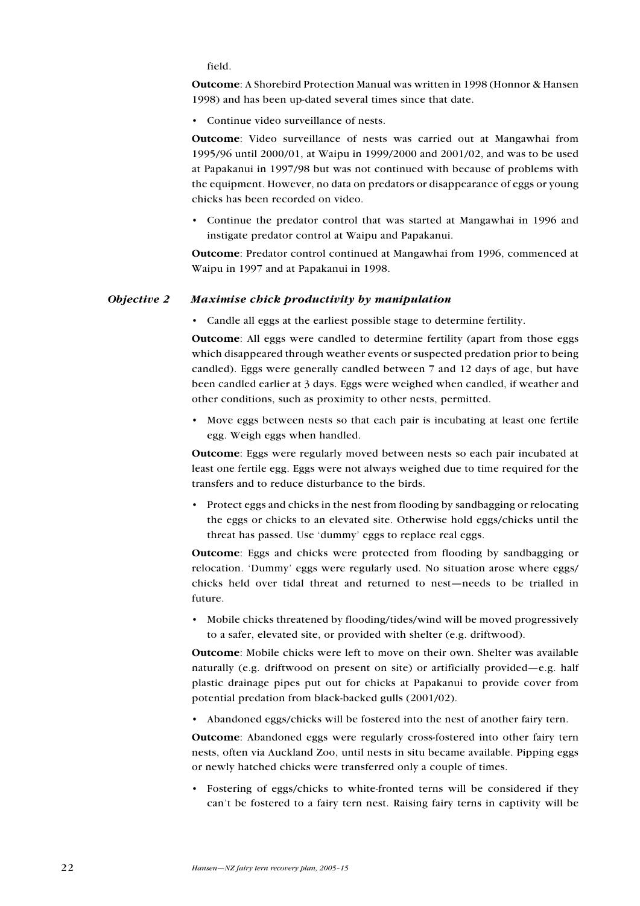field.

Outcome: A Shorebird Protection Manual was written in 1998 (Honnor & Hansen 1998) and has been up-dated several times since that date.

Continue video surveillance of nests. •

Outcome: Video surveillance of nests was carried out at Mangawhai from 1995/96 until 2000/01, at Waipu in 1999/2000 and 2001/02, and was to be used at Papakanui in 1997/98 but was not continued with because of problems with the equipment. However, no data on predators or disappearance of eggs or young chicks has been recorded on video.

Continue the predator control that was started at Mangawhai in 1996 and • instigate predator control at Waipu and Papakanui.

Outcome: Predator control continued at Mangawhai from 1996, commenced at Waipu in 1997 and at Papakanui in 1998.

#### Objective 2 Maximise chick productivity by manipulation

Candle all eggs at the earliest possible stage to determine fertility. •

Outcome: All eggs were candled to determine fertility (apart from those eggs which disappeared through weather events or suspected predation prior to being candled). Eggs were generally candled between 7 and 12 days of age, but have been candled earlier at 3 days. Eggs were weighed when candled, if weather and other conditions, such as proximity to other nests, permitted.

• Move eggs between nests so that each pair is incubating at least one fertile egg. Weigh eggs when handled.

Outcome: Eggs were regularly moved between nests so each pair incubated at least one fertile egg. Eggs were not always weighed due to time required for the transfers and to reduce disturbance to the birds.

• Protect eggs and chicks in the nest from flooding by sandbagging or relocating the eggs or chicks to an elevated site. Otherwise hold eggs/chicks until the threat has passed. Use 'dummy' eggs to replace real eggs.

Outcome: Eggs and chicks were protected from flooding by sandbagging or relocation. 'Dummy' eggs were regularly used. No situation arose where eggs/ chicks held over tidal threat and returned to nest—needs to be trialled in future.

• Mobile chicks threatened by flooding/tides/wind will be moved progressively to a safer, elevated site, or provided with shelter (e.g. driftwood).

Outcome: Mobile chicks were left to move on their own. Shelter was available naturally (e.g. driftwood on present on site) or artificially provided—e.g. half plastic drainage pipes put out for chicks at Papakanui to provide cover from potential predation from black-backed gulls (2001/02).

• Abandoned eggs/chicks will be fostered into the nest of another fairy tern.

Outcome: Abandoned eggs were regularly cross-fostered into other fairy tern nests, often via Auckland Zoo, until nests in situ became available. Pipping eggs or newly hatched chicks were transferred only a couple of times.

• Fostering of eggs/chicks to white-fronted terns will be considered if they can't be fostered to a fairy tern nest. Raising fairy terns in captivity will be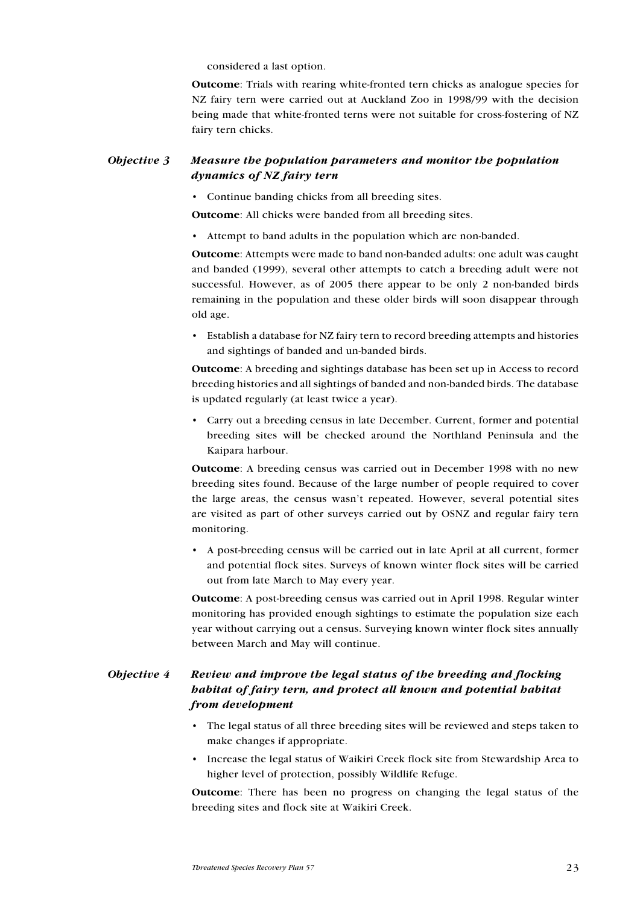considered a last option.

Outcome: Trials with rearing white-fronted tern chicks as analogue species for NZ fairy tern were carried out at Auckland Zoo in 1998/99 with the decision being made that white-fronted terns were not suitable for cross-fostering of NZ fairy tern chicks.

## Objective 3 Measure the population parameters and monitor the population dynamics of NZ fairy tern

• Continue banding chicks from all breeding sites.

Outcome: All chicks were banded from all breeding sites.

Attempt to band adults in the population which are non-banded. •

Outcome: Attempts were made to band non-banded adults: one adult was caught and banded (1999), several other attempts to catch a breeding adult were not successful. However, as of 2005 there appear to be only 2 non-banded birds remaining in the population and these older birds will soon disappear through old age.

Establish a database for NZ fairy tern to record breeding attempts and histories • and sightings of banded and un-banded birds.

Outcome: A breeding and sightings database has been set up in Access to record breeding histories and all sightings of banded and non-banded birds. The database is updated regularly (at least twice a year).

Carry out a breeding census in late December. Current, former and potential • breeding sites will be checked around the Northland Peninsula and the Kaipara harbour.

Outcome: A breeding census was carried out in December 1998 with no new breeding sites found. Because of the large number of people required to cover the large areas, the census wasn't repeated. However, several potential sites are visited as part of other surveys carried out by OSNZ and regular fairy tern monitoring.

A post-breeding census will be carried out in late April at all current, former • and potential flock sites. Surveys of known winter flock sites will be carried out from late March to May every year.

Outcome: A post-breeding census was carried out in April 1998. Regular winter monitoring has provided enough sightings to estimate the population size each year without carrying out a census. Surveying known winter flock sites annually between March and May will continue.

## Objective 4 Review and improve the legal status of the breeding and flocking habitat of fairy tern, and protect all known and potential habitat from development

- The legal status of all three breeding sites will be reviewed and steps taken to make changes if appropriate.
- Increase the legal status of Waikiri Creek flock site from Stewardship Area to higher level of protection, possibly Wildlife Refuge.

Outcome: There has been no progress on changing the legal status of the breeding sites and flock site at Waikiri Creek.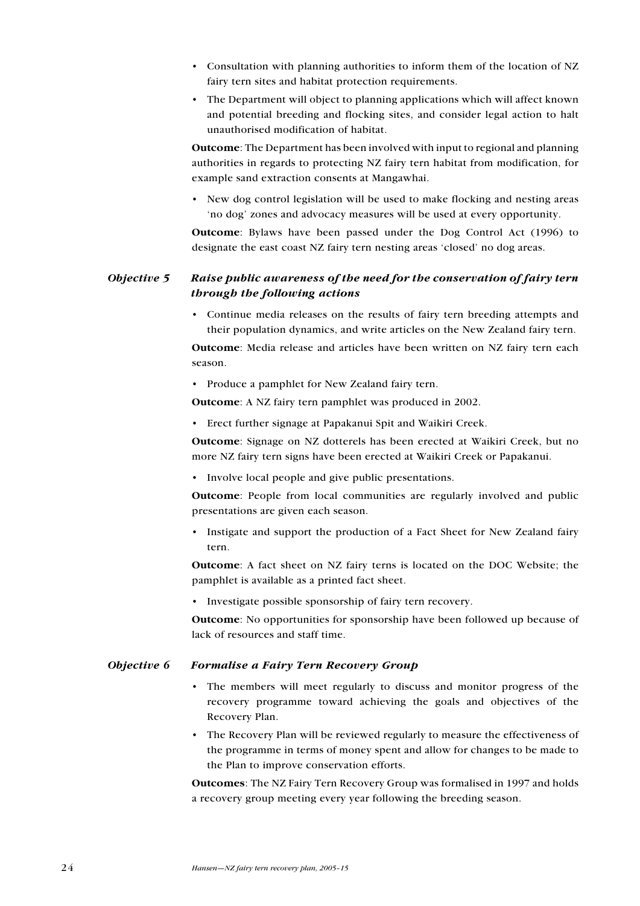- Consultation with planning authorities to inform them of the location of NZ fairy tern sites and habitat protection requirements.
- The Department will object to planning applications which will affect known and potential breeding and flocking sites, and consider legal action to halt unauthorised modification of habitat.

Outcome: The Department has been involved with input to regional and planning authorities in regards to protecting NZ fairy tern habitat from modification, for example sand extraction consents at Mangawhai.

• New dog control legislation will be used to make flocking and nesting areas 'no dog' zones and advocacy measures will be used at every opportunity.

Outcome: Bylaws have been passed under the Dog Control Act (1996) to designate the east coast NZ fairy tern nesting areas 'closed' no dog areas.

## Objective 5 Raise public awareness of the need for the conservation of fairy tern through the following actions

• Continue media releases on the results of fairy tern breeding attempts and their population dynamics, and write articles on the New Zealand fairy tern.

Outcome: Media release and articles have been written on NZ fairy tern each season.

• Produce a pamphlet for New Zealand fairy tern.

Outcome: A NZ fairy tern pamphlet was produced in 2002.

Erect further signage at Papakanui Spit and Waikiri Creek. •

Outcome: Signage on NZ dotterels has been erected at Waikiri Creek, but no more NZ fairy tern signs have been erected at Waikiri Creek or Papakanui.

• Involve local people and give public presentations.

Outcome: People from local communities are regularly involved and public presentations are given each season.

Instigate and support the production of a Fact Sheet for New Zealand fairy tern. •

Outcome: A fact sheet on NZ fairy terns is located on the DOC Website; the pamphlet is available as a printed fact sheet.

• Investigate possible sponsorship of fairy tern recovery.

Outcome: No opportunities for sponsorship have been followed up because of lack of resources and staff time.

#### Objective 6 Formalise a Fairy Tern Recovery Group

- The members will meet regularly to discuss and monitor progress of the recovery programme toward achieving the goals and objectives of the Recovery Plan.
- The Recovery Plan will be reviewed regularly to measure the effectiveness of •the programme in terms of money spent and allow for changes to be made to the Plan to improve conservation efforts.

Outcomes: The NZ Fairy Tern Recovery Group was formalised in 1997 and holds a recovery group meeting every year following the breeding season.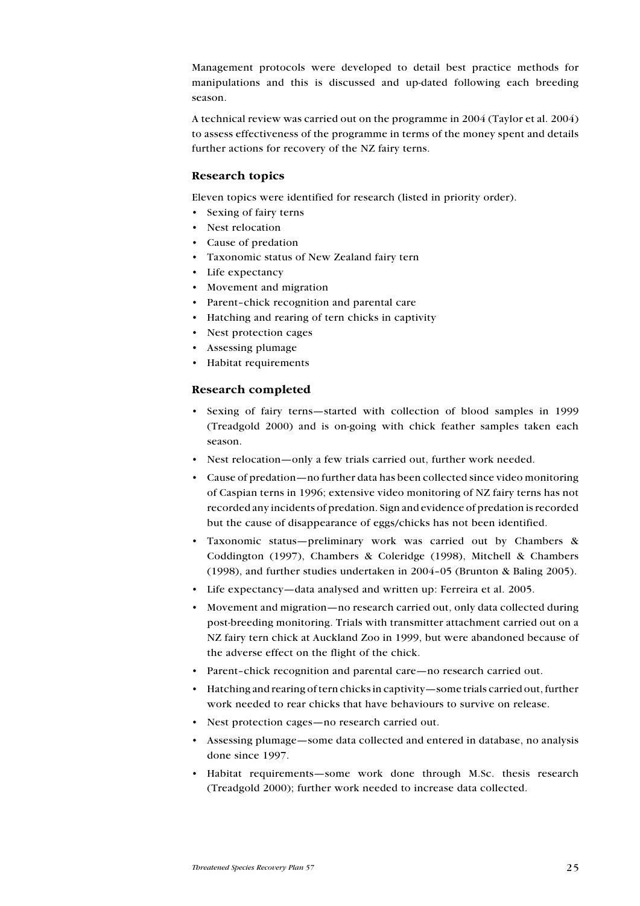Management protocols were developed to detail best practice methods for manipulations and this is discussed and up-dated following each breeding season.

A technical review was carried out on the programme in 2004 (Taylor et al. 2004) to assess effectiveness of the programme in terms of the money spent and details further actions for recovery of the NZ fairy terns.

#### Research topics

Eleven topics were identified for research (listed in priority order).

- Sexing of fairy terns
- Nest relocation
- Cause of predation •
- Taxonomic status of New Zealand fairy tern •
- Life expectancy
- Movement and migration
- Parent–chick recognition and parental care •
- Hatching and rearing of tern chicks in captivity
- Nest protection cages •
- Assessing plumage •
- Habitat requirements •

#### Research completed

- Sexing of fairy terns—started with collection of blood samples in 1999 (Treadgold 2000) and is on-going with chick feather samples taken each season. •
- Nest relocation—only a few trials carried out, further work needed.
- Cause of predation—no further data has been collected since video monitoring of Caspian terns in 1996; extensive video monitoring of NZ fairy terns has not recorded any incidents of predation. Sign and evidence of predation is recorded but the cause of disappearance of eggs/chicks has not been identified.
- Taxonomic status—preliminary work was carried out by Chambers & Coddington (1997), Chambers & Coleridge (1998), Mitchell & Chambers (1998), and further studies undertaken in 2004–05 (Brunton & Baling 2005). •
- Life expectancy-data analysed and written up: Ferreira et al. 2005.
- Movement and migration—no research carried out, only data collected during post-breeding monitoring. Trials with transmitter attachment carried out on a NZ fairy tern chick at Auckland Zoo in 1999, but were abandoned because of the adverse effect on the flight of the chick.
- Parent-chick recognition and parental care—no research carried out.
- Hatching and rearing of tern chicks in captivity—some trials carried out, further work needed to rear chicks that have behaviours to survive on release. •
- Nest protection cages—no research carried out. •
- Assessing plumage—some data collected and entered in database, no analysis done since 1997.
- Habitat requirements—some work done through M.Sc. thesis research (Treadgold 2000); further work needed to increase data collected. •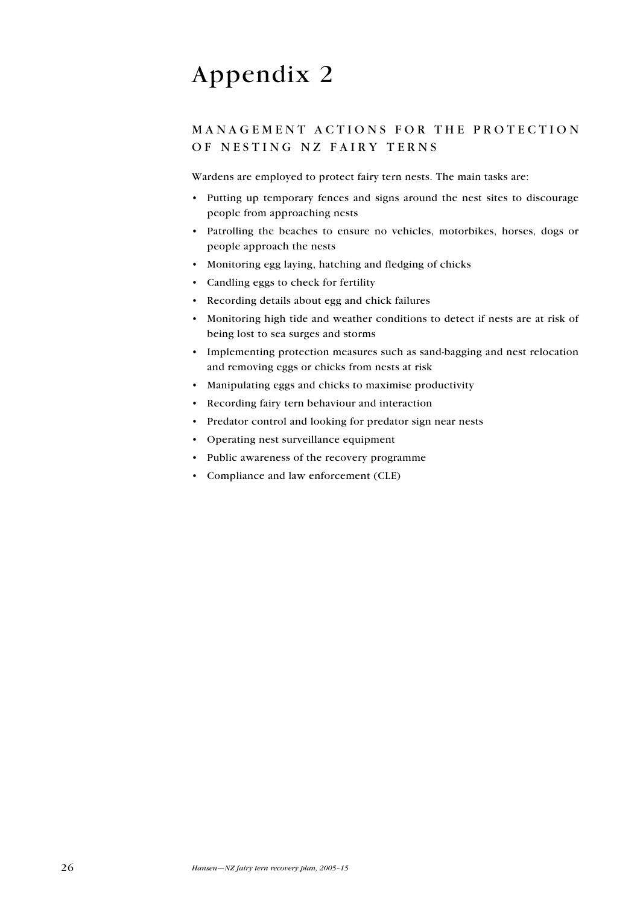# <span id="page-25-0"></span>Appendix 2

## MANAGEMENT ACTIONS FOR THE PROTECTION OF NESTING NZ FAIRY TERNS

Wardens are employed to protect fairy tern nests. The main tasks are:

- Putting up temporary fences and signs around the nest sites to discourage people from approaching nests
- Patrolling the beaches to ensure no vehicles, motorbikes, horses, dogs or people approach the nests
- Monitoring egg laying, hatching and fledging of chicks •
- Candling eggs to check for fertility •
- Recording details about egg and chick failures
- Monitoring high tide and weather conditions to detect if nests are at risk of being lost to sea surges and storms
- Implementing protection measures such as sand-bagging and nest relocation and removing eggs or chicks from nests at risk
- Manipulating eggs and chicks to maximise productivity •
- Recording fairy tern behaviour and interaction
- Predator control and looking for predator sign near nests
- Operating nest surveillance equipment
- Public awareness of the recovery programme
- Compliance and law enforcement (CLE)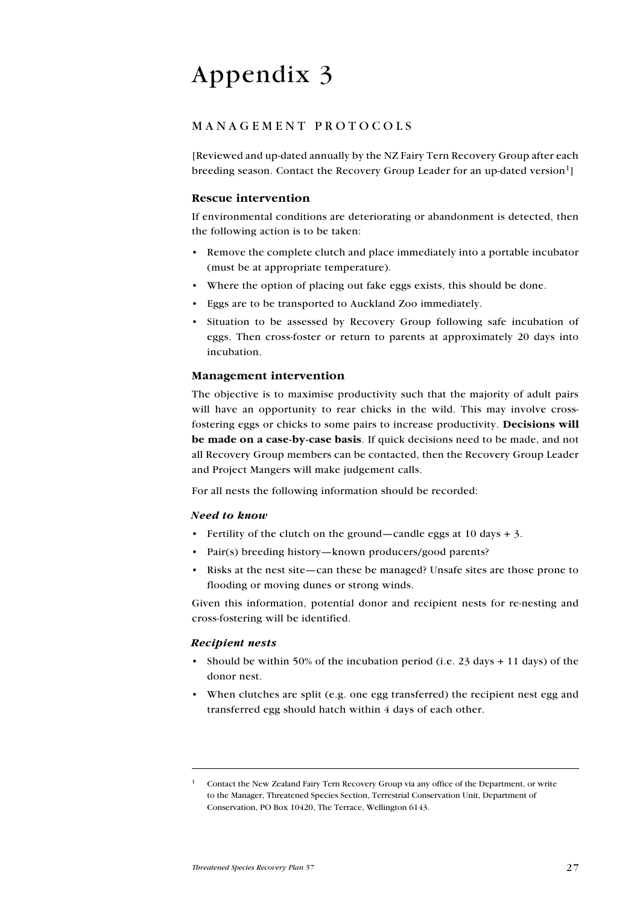# <span id="page-26-0"></span>Appendix 3

## MANAGEMENT PROTOCOLS

[Reviewed and up-dated annually by the NZ Fairy Tern Recovery Group after each breeding season. Contact the Recovery Group Leader for an up-dated version<sup>1</sup>

### Rescue intervention

If environmental conditions are deteriorating or abandonment is detected, then the following action is to be taken:

- Remove the complete clutch and place immediately into a portable incubator (must be at appropriate temperature).
- Where the option of placing out fake eggs exists, this should be done. •
- Eggs are to be transported to Auckland Zoo immediately. •
- Situation to be assessed by Recovery Group following safe incubation of eggs. Then cross-foster or return to parents at approximately 20 days into incubation.

#### Management intervention

The objective is to maximise productivity such that the majority of adult pairs will have an opportunity to rear chicks in the wild. This may involve crossfostering eggs or chicks to some pairs to increase productivity. Decisions will be made on a case-by-case basis. If quick decisions need to be made, and not all Recovery Group members can be contacted, then the Recovery Group Leader and Project Mangers will make judgement calls.

For all nests the following information should be recorded:

#### Need to know

- Fertility of the clutch on the ground—candle eggs at 10 days + 3.
- Pair(s) breeding history—known producers/good parents?
- Risks at the nest site—can these be managed? Unsafe sites are those prone to flooding or moving dunes or strong winds.

Given this information, potential donor and recipient nests for re-nesting and cross-fostering will be identified.

#### Recipient nests

- Should be within 50% of the incubation period (i.e. 23 days + 11 days) of the donor nest.
- When clutches are split (e.g. one egg transferred) the recipient nest egg and transferred egg should hatch within 4 days of each other.

<sup>1</sup> Contact the New Zealand Fairy Tern Recovery Group via any office of the Department, or write to the Manager, Threatened Species Section, Terrestrial Conservation Unit, Department of Conservation, PO Box 10420, The Terrace, Wellington 6143.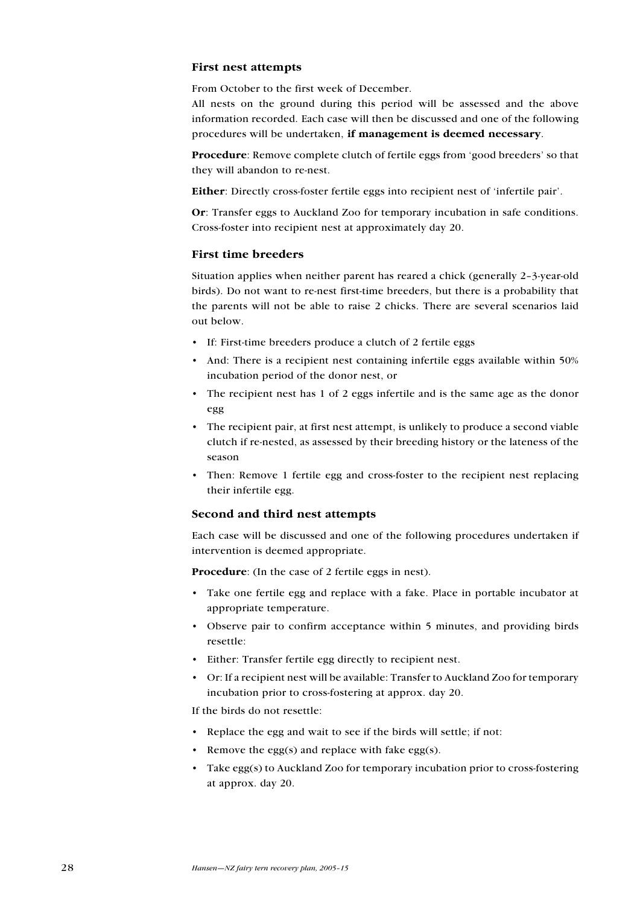#### First nest attempts

From October to the first week of December.

All nests on the ground during this period will be assessed and the above information recorded. Each case will then be discussed and one of the following procedures will be undertaken, if management is deemed necessary.

Procedure: Remove complete clutch of fertile eggs from 'good breeders' so that they will abandon to re-nest.

Either: Directly cross-foster fertile eggs into recipient nest of 'infertile pair'.

Or: Transfer eggs to Auckland Zoo for temporary incubation in safe conditions. Cross-foster into recipient nest at approximately day 20.

## First time breeders

Situation applies when neither parent has reared a chick (generally 2–3-year-old birds). Do not want to re-nest first-time breeders, but there is a probability that the parents will not be able to raise 2 chicks. There are several scenarios laid out below.

- If: First-time breeders produce a clutch of 2 fertile eggs
- And: There is a recipient nest containing infertile eggs available within 50% incubation period of the donor nest, or
- The recipient nest has 1 of 2 eggs infertile and is the same age as the donor egg
- The recipient pair, at first nest attempt, is unlikely to produce a second viable clutch if re-nested, as assessed by their breeding history or the lateness of the season
- Then: Remove 1 fertile egg and cross-foster to the recipient nest replacing their infertile egg.

#### Second and third nest attempts

Each case will be discussed and one of the following procedures undertaken if intervention is deemed appropriate.

Procedure: (In the case of 2 fertile eggs in nest).

- Take one fertile egg and replace with a fake. Place in portable incubator at appropriate temperature.
- Observe pair to confirm acceptance within 5 minutes, and providing birds resettle:
- Either: Transfer fertile egg directly to recipient nest. •
- Or: If a recipient nest will be available: Transfer to Auckland Zoo for temporary incubation prior to cross-fostering at approx. day 20.

If the birds do not resettle:

- Replace the egg and wait to see if the birds will settle; if not:
- Remove the egg(s) and replace with fake egg(s).
- Take egg(s) to Auckland Zoo for temporary incubation prior to cross-fostering •at approx. day 20.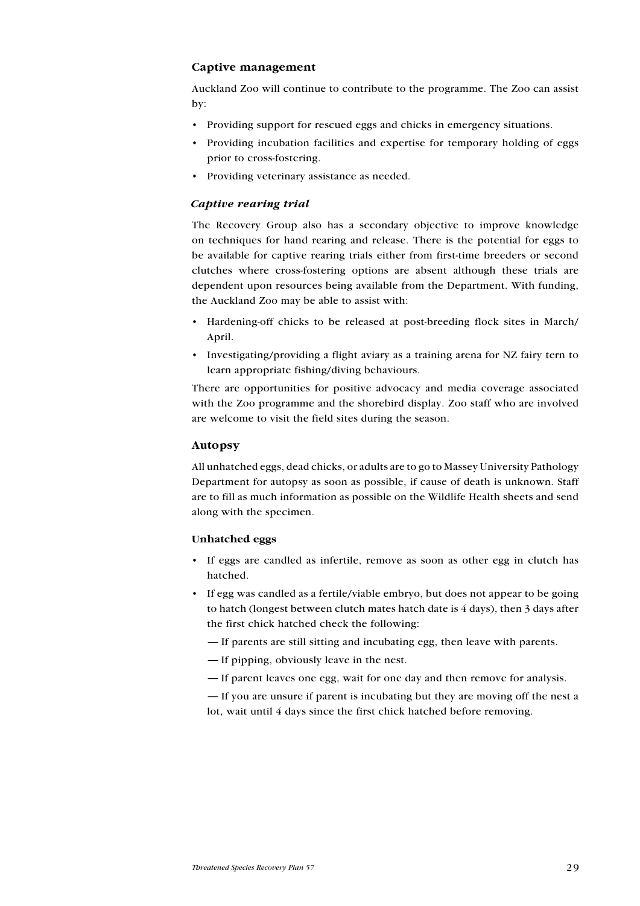#### Captive management

Auckland Zoo will continue to contribute to the programme. The Zoo can assist by:

- Providing support for rescued eggs and chicks in emergency situations.
- Providing incubation facilities and expertise for temporary holding of eggs prior to cross-fostering.
- Providing veterinary assistance as needed.

## Captive rearing trial

The Recovery Group also has a secondary objective to improve knowledge on techniques for hand rearing and release. There is the potential for eggs to be available for captive rearing trials either from first-time breeders or second clutches where cross-fostering options are absent although these trials are dependent upon resources being available from the Department. With funding, the Auckland Zoo may be able to assist with:

- Hardening-off chicks to be released at post-breeding flock sites in March/ April.
- Investigating/providing a flight aviary as a training arena for NZ fairy tern to learn appropriate fishing/diving behaviours.

There are opportunities for positive advocacy and media coverage associated with the Zoo programme and the shorebird display. Zoo staff who are involved are welcome to visit the field sites during the season.

#### Autopsy

All unhatched eggs, dead chicks, or adults are to go to Massey University Pathology Department for autopsy as soon as possible, if cause of death is unknown. Staff are to fill as much information as possible on the Wildlife Health sheets and send along with the specimen.

#### Unhatched eggs

- If eggs are candled as infertile, remove as soon as other egg in clutch has hatched.
- If egg was candled as a fertile/viable embryo, but does not appear to be going to hatch (longest between clutch mates hatch date is 4 days), then 3 days after the first chick hatched check the following: •
	- If parents are still sitting and incubating egg, then leave with parents.
	- If pipping, obviously leave in the nest.
	- If parent leaves one egg, wait for one day and then remove for analysis.

— If you are unsure if parent is incubating but they are moving off the nest a lot, wait until 4 days since the first chick hatched before removing.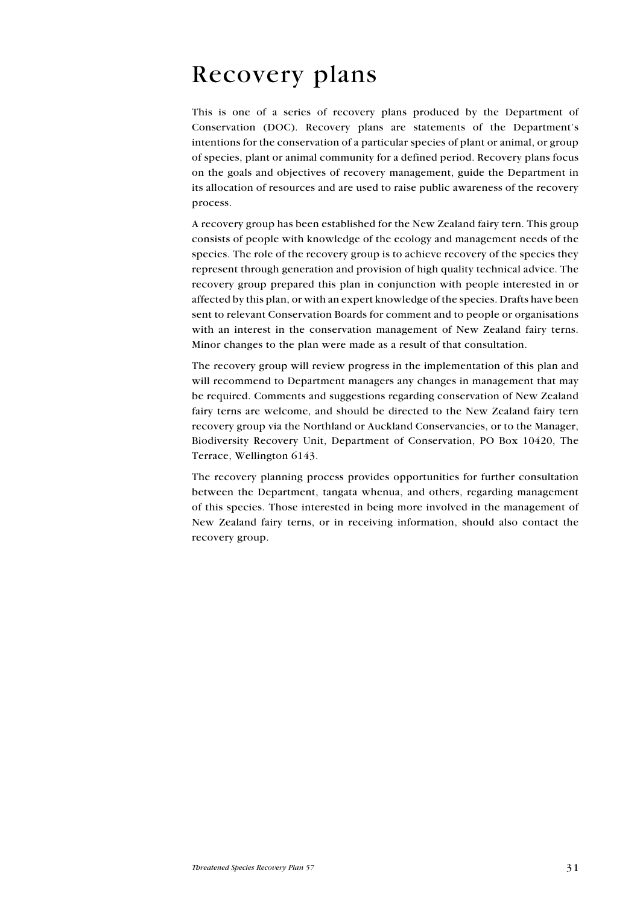# <span id="page-29-0"></span>Recovery plans

This is one of a series of recovery plans produced by the Department of Conservation (DOC). Recovery plans are statements of the Department's intentions for the conservation of a particular species of plant or animal, or group of species, plant or animal community for a defined period. Recovery plans focus on the goals and objectives of recovery management, guide the Department in its allocation of resources and are used to raise public awareness of the recovery process.

A recovery group has been established for the New Zealand fairy tern. This group consists of people with knowledge of the ecology and management needs of the species. The role of the recovery group is to achieve recovery of the species they represent through generation and provision of high quality technical advice. The recovery group prepared this plan in conjunction with people interested in or affected by this plan, or with an expert knowledge of the species. Drafts have been sent to relevant Conservation Boards for comment and to people or organisations with an interest in the conservation management of New Zealand fairy terns. Minor changes to the plan were made as a result of that consultation.

The recovery group will review progress in the implementation of this plan and will recommend to Department managers any changes in management that may be required. Comments and suggestions regarding conservation of New Zealand fairy terns are welcome, and should be directed to the New Zealand fairy tern recovery group via the Northland or Auckland Conservancies, or to the Manager, Biodiversity Recovery Unit, Department of Conservation, PO Box 10420, The Terrace, Wellington 6143.

The recovery planning process provides opportunities for further consultation between the Department, tangata whenua, and others, regarding management of this species. Those interested in being more involved in the management of New Zealand fairy terns, or in receiving information, should also contact the recovery group.